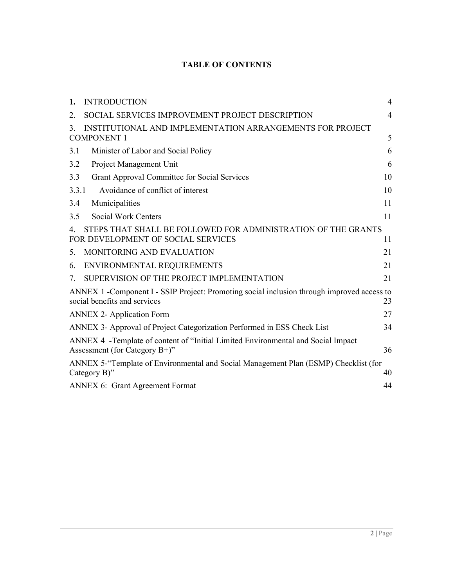# **TABLE OF CONTENTS**

| 1.    | <b>INTRODUCTION</b>                                                                                                        | 4              |
|-------|----------------------------------------------------------------------------------------------------------------------------|----------------|
| 2.    | SOCIAL SERVICES IMPROVEMENT PROJECT DESCRIPTION                                                                            | $\overline{4}$ |
| 3.    | INSTITUTIONAL AND IMPLEMENTATION ARRANGEMENTS FOR PROJECT<br><b>COMPONENT 1</b>                                            | 5              |
| 3.1   | Minister of Labor and Social Policy                                                                                        | 6              |
| 3.2   | Project Management Unit                                                                                                    | 6              |
| 3.3   | <b>Grant Approval Committee for Social Services</b>                                                                        | 10             |
| 3.3.1 | Avoidance of conflict of interest                                                                                          | 10             |
| 3.4   | Municipalities                                                                                                             | 11             |
| 3.5   | Social Work Centers                                                                                                        | 11             |
| 4.    | STEPS THAT SHALL BE FOLLOWED FOR ADMINISTRATION OF THE GRANTS<br>FOR DEVELOPMENT OF SOCIAL SERVICES                        | 11             |
| 5.    | MONITORING AND EVALUATION                                                                                                  | 21             |
| 6.    | ENVIRONMENTAL REQUIREMENTS                                                                                                 | 21             |
| 7.    | SUPERVISION OF THE PROJECT IMPLEMENTATION                                                                                  | 21             |
|       | ANNEX 1 -Component I - SSIP Project: Promoting social inclusion through improved access to<br>social benefits and services | 23             |
|       | <b>ANNEX 2- Application Form</b>                                                                                           | 27             |
|       | ANNEX 3- Approval of Project Categorization Performed in ESS Check List                                                    | 34             |
|       | ANNEX 4 -Template of content of "Initial Limited Environmental and Social Impact<br>Assessment (for Category $B+$ )"       | 36             |
|       | ANNEX 5-"Template of Environmental and Social Management Plan (ESMP) Checklist (for<br>Category B)"                        | 40             |
|       | <b>ANNEX 6: Grant Agreement Format</b>                                                                                     | 44             |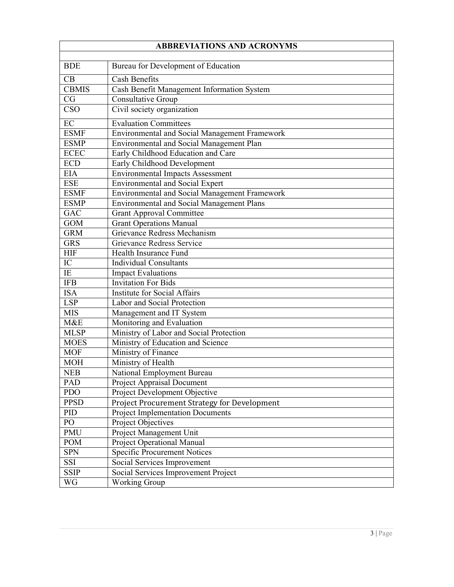| <b>ABBREVIATIONS AND ACRONYMS</b> |                                                      |  |  |  |  |
|-----------------------------------|------------------------------------------------------|--|--|--|--|
|                                   |                                                      |  |  |  |  |
| <b>BDE</b>                        | Bureau for Development of Education                  |  |  |  |  |
| CB                                | <b>Cash Benefits</b>                                 |  |  |  |  |
| <b>CBMIS</b>                      | Cash Benefit Management Information System           |  |  |  |  |
| CG                                | Consultative Group                                   |  |  |  |  |
| CSO                               | Civil society organization                           |  |  |  |  |
| $\overline{EC}$                   | <b>Evaluation Committees</b>                         |  |  |  |  |
| <b>ESMF</b>                       | <b>Environmental and Social Management Framework</b> |  |  |  |  |
| <b>ESMP</b>                       | Environmental and Social Management Plan             |  |  |  |  |
| <b>ECEC</b>                       | Early Childhood Education and Care                   |  |  |  |  |
| <b>ECD</b>                        | Early Childhood Development                          |  |  |  |  |
| <b>EIA</b>                        | <b>Environmental Impacts Assessment</b>              |  |  |  |  |
| <b>ESE</b>                        | Environmental and Social Expert                      |  |  |  |  |
| <b>ESMF</b>                       | Environmental and Social Management Framework        |  |  |  |  |
| <b>ESMP</b>                       | <b>Environmental and Social Management Plans</b>     |  |  |  |  |
| <b>GAC</b>                        | <b>Grant Approval Committee</b>                      |  |  |  |  |
| <b>GOM</b>                        | <b>Grant Operations Manual</b>                       |  |  |  |  |
| <b>GRM</b>                        | Grievance Redress Mechanism                          |  |  |  |  |
| <b>GRS</b>                        | Grievance Redress Service                            |  |  |  |  |
| <b>HIF</b>                        | Health Insurance Fund                                |  |  |  |  |
| IC                                | <b>Individual Consultants</b>                        |  |  |  |  |
| IE                                | <b>Impact Evaluations</b>                            |  |  |  |  |
| <b>IFB</b>                        | <b>Invitation For Bids</b>                           |  |  |  |  |
| <b>ISA</b>                        | <b>Institute for Social Affairs</b>                  |  |  |  |  |
| <b>LSP</b>                        | Labor and Social Protection                          |  |  |  |  |
| <b>MIS</b>                        | Management and IT System                             |  |  |  |  |
| M&E                               | Monitoring and Evaluation                            |  |  |  |  |
| <b>MLSP</b>                       | Ministry of Labor and Social Protection              |  |  |  |  |
| <b>MOES</b>                       | Ministry of Education and Science                    |  |  |  |  |
| <b>MOF</b>                        | Ministry of Finance                                  |  |  |  |  |
| <b>MOH</b>                        | Ministry of Health                                   |  |  |  |  |
| <b>NEB</b>                        | National Employment Bureau                           |  |  |  |  |
| PAD                               | Project Appraisal Document                           |  |  |  |  |
| <b>PDO</b>                        | Project Development Objective                        |  |  |  |  |
| <b>PPSD</b>                       | Project Procurement Strategy for Development         |  |  |  |  |
| PID                               | <b>Project Implementation Documents</b>              |  |  |  |  |
| PO                                | Project Objectives                                   |  |  |  |  |
| PMU                               | Project Management Unit                              |  |  |  |  |
| POM                               | Project Operational Manual                           |  |  |  |  |
| <b>SPN</b>                        | <b>Specific Procurement Notices</b>                  |  |  |  |  |
| SSI                               | Social Services Improvement                          |  |  |  |  |
| <b>SSIP</b>                       | Social Services Improvement Project                  |  |  |  |  |
| WG                                | Working Group                                        |  |  |  |  |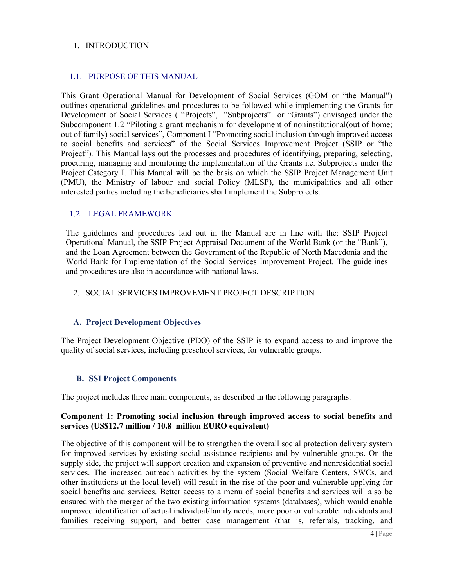#### **1.** INTRODUCTION

#### 1.1. PURPOSE OF THIS MANUAL MANUAL

This Grant Operational Manual for Development of Social Services (GOM or "the Manual") outlines operational guidelines and procedures to be followed while implementing the Grants for Development of Social Services ("Projects", "Subprojects" or "Grants") envisaged under the Subcomponent 1.2 "Piloting a grant mechanism for development of noninstitutional(out of home; out of family) social services", Component I "Promoting social inclusion through improved access to social benefits and services" of the Social Services Improvement Project (SSIP or "the Project"). This Manual lays out the processes and procedures of identifying, preparing, selecting, procuring, managing and monitoring the implementation of the Grants i.e. Subprojects Project Category I. This Manual will be the basis on which the SSIP Project Management Unit (PMU), the Ministry of labour and social Policy (MLSP), the municipalities and all other interested parties including the beneficiaries shall implement the Subprojects. nent 1.2 "Piloting a grant mechanism for development of nonin<br>ily) social services", Component I "Promoting social inclusion t<br>benefits and services" of the Social Services Improvement<br>This Manual lays out the processes an Category I. This Manual will be the basis on which the SSIP Projection-<br>the Ministry of labour and social Policy (MLSP), the municipal<br>ed parties including the beneficiaries shall implement the Subprojects. This Grant Operational Manual for Development of Social Services (GOM or "the Manual") outlines operational guidelines and procedures to be followed while implementing the Grants for Development of Social Services ( "Proje

#### 1.2. LEGAL FRAMEWORK

The guidelines and procedures laid out in the Manual are in line with the: SSIP Project Operational Manual, the SSIP Project Appraisal Document of the World Bank (or the "Bank"), Operational Manual, the SSIP Project Appraisal Document of the World Bank (or the "Bank"), and the Loan Agreement between the Government of the Republic of North Macedonia and the World Bank for Implementation of the Social Services Improvement Project. The guidelines and procedures are also in accordance with national laws. roject Category I. This Manual will be the basis on which the SSIP Project MMU), the Ministry of labour and social Policy (MLSP), the municipalities<br>terested parties including the beneficiaries shall implement the Subproje

#### 2. SOCIAL SERVICES IMPROVEMENT PROJECT DESCRIPTION

#### **A. Project Development Objectives**

The Project Development Objective (PDO) of the SSIP is to expand access to and improve the quality of social services, including preschool services, for vulnerable groups.

#### **B. SSI Project Components**

The project includes three main components, as described in the following paragraphs.

#### Component 1: Promoting social inclusion through improved access to social benefits and **services (US\$12.7 million / 10.8 million EURO equivalent)**

The objective of this component will be to strengthen the overall social protection delivery system for improved services by existing social assistance recipients and by vulnerable groups. On the supply side, the project will support creation and expansion of preventive and nonresidential social services. The increased outreach activities by the system (Social Welfare Centers, SWCs, and other institutions at the local level) will result in the rise of the poor and vulnerable applying for social benefits and services. Better access to a menu of social benefits and services will also be ensured with the merger of the two existing information systems (databases), which would enable improved identification of actual individual/family needs, more poor or vulnerable individuals and families receiving support, and better case management (that is, referrals, tracking, and hent will be to strengthen the overall social protection delivery system<br>sisting social assistance recipients and by vulnerable groups. On the<br>support creation and expansion of preventive and nonresidential social The objective of this component will be to strengthen the overall social protection delivery<br>for improved services by existing social assistance recipients and by vulnerable groups.<br>supply side, the project will support cr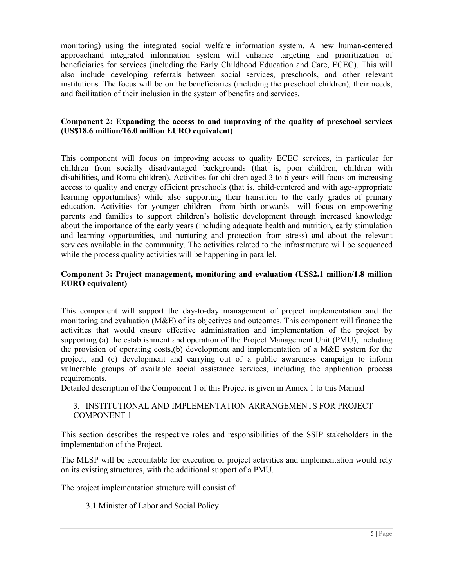monitoring) using the integrated social welfare information system. A new human-centered approachand integrated information system will enhance targeting and prioritization of beneficiaries for services (including the Early Childhood Education and Care, ECEC). This will also include developing referrals between social services, preschools, and other relevant institutions. The focus will be on the beneficiaries (including the preschool children), their needs, and facilitation of their inclusion in the system of benefits and services. facilitation of iciaries for services (including the Early Childhood Education and Care, ECEC). This will include developing referrals between social services, preschools, and other relevant tions. The focus will be on the beneficiaries ( n system will enhance targeting<br>the Early Childhood Education and<br>between social services, preschoo<br>beneficiaries (including the preschoo

#### Component 2: Expanding the access to and improving of the quality of preschool services **(US\$18.6 million/16.0 million EURO equivalent)**

This component will focus on improving access to quality ECEC services, in particular for children from socially disadvantaged backgrounds (that is, poor children, children with children from socially disadvantaged backgrounds (that is, poor children, children with<br>disabilities, and Roma children). Activities for children aged 3 to 6 years will focus on increasing access to quality and energy efficient preschools (that is, child-centered and with age learning opportunities) while also supporting their transition to the early grades of primary education. Activities for younger children—from birth onwards—will focus on empowering parents and families to support children's holistic development through increased knowledge about the importance of the early years (including adequate health and nutrition, early stimulatio and learning opportunities, and nurturing and protection from stress) and about the relevant and learning opportunities, and nurturing and protection from stress) and about the relevant services available in the community. The activities related to the infrastructure will be sequenced services available in the community. The activities related to the while the process quality activities will be happening in parallel. will focus on improving access to quality ECEC services, in particular for socially disadvantaged backgrounds (that is, poor children, children with Roma children). Activities for children aged 3 to 6 years will focus on i opportunities) while also supporting their transition to the early grades of primary n. Activities for younger children—from birth onwards—will focus on empowering and families to support children's holistic development th

#### **Component 3: Project management, monitoring and evaluation (US\$2.1 million/1.8 million 3: EURO equivalent)**

This component will support the day-to-day management of project implementation and the monitoring and evaluation (M&E) of its objectives and outcomes. This component will finance the activities that would ensure effective administration and implementation of the project by supporting (a) the establishment and operation of the Project Management Unit (PMU), including the provision of operating costs,(b) development and implementation of a M&E system for the project, and (c) development and carrying out of a public awareness campaign to inform vulnerable groups of available social assistance services, including the application process requirements. ivities that would ensure effective administration and implementation of the propring (a) the establishment and operation of the Project Management Unit (PMU provision of operating costs,(b) development and implementation or in support will support the day-to-day management of project implementation and the ring and evaluation (M&E) of its objectives and outcomes. This component will finance the set shat would ensure effective administratio

Detailed description of the Component 1 of this Project is given in Annex 1 to this Manual

#### 3. INSTITUTIONAL AND IMPLEMENTATION ARRANGEMENTS FOR PROJECT COMPONENT 1

This section describes the respective roles and responsibilities of the SSIP stakeholders in the implementation of the Project.

The MLSP will be accountable for execution of project activities and implementation would rely on its existing structures, with the additional support of a PMU.

The project implementation structure will consist of:

3.1 Minister of Labor and Social Policy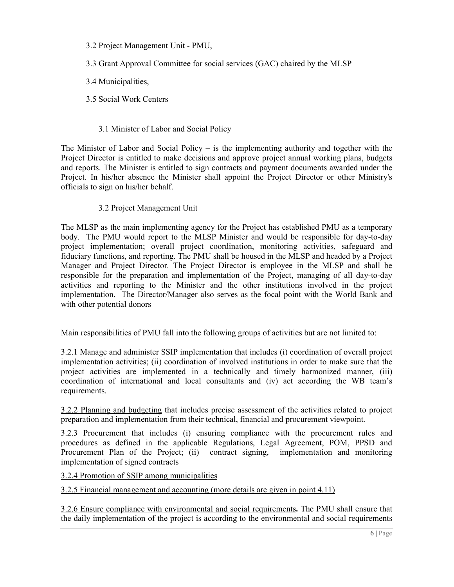3.2 Project Management Unit - PMU,

3.3 Grant Approval Committee for social services (GAC) chaired by the MLSP

3.4 Municipalities,

3.5 Social Work Centers

### 3.1 Minister of Labor and Social Policy

The Minister of Labor and Social Policy **–** is the implementing authority and together with the Project Director is entitled to make decisions and approve project annual working plans, budgets and reports. The Minister is entitled to sign contracts and payment documents awarded under the Project. In his/her absence the Minister shall appoint the Project Director or other Ministry's officials to sign on his/her behalf.

#### 3.2 Project Management Unit

The MLSP as the main implementing agency for the Project has established PMU as a temporary body. The PMU would report to the MLSP Minister and would be responsible for day-to-day project implementation; overall project coordination, monitoring activities, safeguard and fiduciary functions, and reporting. The PMU shall be housed in the MLSP and headed by a Project Manager and Project Director. The Project Director is employee in the MLSP and shall be responsible for the preparation and implementation of the Project, managing of all day-to-day activities and reporting to the Minister and the other institutions involved in the project implementation. The Director/Manager also serves as the focal point with the World Bank and with other potential donors

Main responsibilities of PMU fall into the following groups of activities but are not limited to:

3.2.1 Manage and administer SSIP implementation that includes (i) coordination of overall project implementation activities; (ii) coordination of involved institutions in order to make sure that the project activities are implemented in a technically and timely harmonized manner, (iii) coordination of international and local consultants and (iv) act according the WB team's requirements.

3.2.2 Planning and budgeting that includes precise assessment of the activities related to project preparation and implementation from their technical, financial and procurement viewpoint.

3.2.3 Procurement that includes (i) ensuring compliance with the procurement rules and procedures as defined in the applicable Regulations, Legal Agreement, POM, PPSD and Procurement Plan of the Project; (ii) contract signing, implementation and monitoring implementation of signed contracts

3.2.4 Promotion of SSIP among municipalities

3.2.5 Financial management and accounting (more details are given in point 4.11)

3.2.6 Ensure compliance with environmental and social requirements**.** The PMU shall ensure that the daily implementation of the project is according to the environmental and social requirements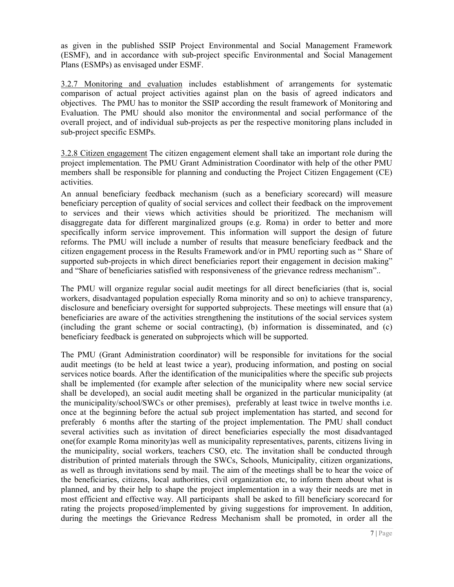as given in the published SSIP Project Environmental and Social Management Framework (ESMF), and in accordance with sub-project specific Environmental and Social Management Plans (ESMPs) as envisaged under ESMF.

3.2.7 Monitoring and evaluation includes establishment of arrangements for systematic comparison of actual project activities against plan on the basis of agreed indicators and objectives. The PMU has to monitor the SSIP according the result framework of Monitoring and Evaluation. The PMU should also monitor the environmental and social performance of the overall project, and of individual sub-projects as per the respective monitoring plans included in sub-project specific ESMPs.

3.2.8 Citizen engagement The citizen engagement element shall take an important role during the project implementation. The PMU Grant Administration Coordinator with help of the other PMU members shall be responsible for planning and conducting the Project Citizen Engagement (CE) activities.

An annual beneficiary feedback mechanism (such as a beneficiary scorecard) will measure beneficiary perception of quality of social services and collect their feedback on the improvement to services and their views which activities should be prioritized. The mechanism will disaggregate data for different marginalized groups (e.g. Roma) in order to better and more specifically inform service improvement. This information will support the design of future reforms. The PMU will include a number of results that measure beneficiary feedback and the citizen engagement process in the Results Framework and/or in PMU reporting such as " Share of supported sub-projects in which direct beneficiaries report their engagement in decision making" and "Share of beneficiaries satisfied with responsiveness of the grievance redress mechanism"..

The PMU will organize regular social audit meetings for all direct beneficiaries (that is, social workers, disadvantaged population especially Roma minority and so on) to achieve transparency, disclosure and beneficiary oversight for supported subprojects. These meetings will ensure that (a) beneficiaries are aware of the activities strengthening the institutions of the social services system (including the grant scheme or social contracting), (b) information is disseminated, and (c) beneficiary feedback is generated on subprojects which will be supported.

The PMU (Grant Administration coordinator) will be responsible for invitations for the social audit meetings (to be held at least twice a year), producing information, and posting on social services notice boards. After the identification of the municipalities where the specific sub projects shall be implemented (for example after selection of the municipality where new social service shall be developed), an social audit meeting shall be organized in the particular municipality (at the municipality/school/SWCs or other premises), preferably at least twice in twelve months i.e. once at the beginning before the actual sub project implementation has started, and second for preferably 6 months after the starting of the project implementation. The PMU shall conduct several activities such as invitation of direct beneficiaries especially the most disadvantaged one(for example Roma minority)as well as municipality representatives, parents, citizens living in the municipality, social workers, teachers CSO, etc. The invitation shall be conducted through distribution of printed materials through the SWCs, Schools, Municipality, citizen organizations, as well as through invitations send by mail. The aim of the meetings shall be to hear the voice of the beneficiaries, citizens, local authorities, civil organization etc, to inform them about what is planned, and by their help to shape the project implementation in a way their needs are met in most efficient and effective way. All participants shall be asked to fill beneficiary scorecard for rating the projects proposed/implemented by giving suggestions for improvement. In addition, during the meetings the Grievance Redress Mechanism shall be promoted, in order all the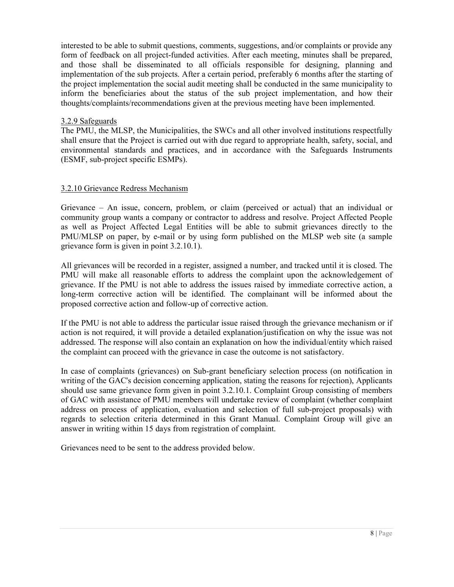interested to be able to submit questions, comments, suggestions, and/or complaints or provide any form of feedback on all project-funded activities. After each meeting, minutes shall be prepared, and those shall be disseminated to all officials responsible for designing, planning and implementation of the sub projects. After a certain period, preferably 6 months after the starting of the project implementation the social audit meeting shall be conducted in the same municipality to inform the beneficiaries about the status of the sub project implementation, and how their thoughts/complaints/recommendations given at the previous meeting have been implemented.

#### 3.2.9 Safeguards

The PMU, the MLSP, the Municipalities, the SWCs and all other involved institutions respectfully shall ensure that the Project is carried out with due regard to appropriate health, safety, social, and environmental standards and practices, and in accordance with the Safeguards Instruments (ESMF, sub-project specific ESMPs).

#### 3.2.10 Grievance Redress Mechanism

Grievance – An issue, concern, problem, or claim (perceived or actual) that an individual or community group wants a company or contractor to address and resolve. Project Affected People as well as Project Affected Legal Entities will be able to submit grievances directly to the PMU/MLSP on paper, by e-mail or by using form published on the MLSP web site (a sample grievance form is given in point 3.2.10.1).

All grievances will be recorded in a register, assigned a number, and tracked until it is closed. The PMU will make all reasonable efforts to address the complaint upon the acknowledgement of grievance. If the PMU is not able to address the issues raised by immediate corrective action, a long-term corrective action will be identified. The complainant will be informed about the proposed corrective action and follow-up of corrective action.

If the PMU is not able to address the particular issue raised through the grievance mechanism or if action is not required, it will provide a detailed explanation/justification on why the issue was not addressed. The response will also contain an explanation on how the individual/entity which raised the complaint can proceed with the grievance in case the outcome is not satisfactory.

In case of complaints (grievances) on Sub-grant beneficiary selection process (on notification in writing of the GAC's decision concerning application, stating the reasons for rejection), Applicants should use same grievance form given in point 3.2.10.1. Complaint Group consisting of members of GAC with assistance of PMU members will undertake review of complaint (whether complaint address on process of application, evaluation and selection of full sub-project proposals) with regards to selection criteria determined in this Grant Manual. Complaint Group will give an answer in writing within 15 days from registration of complaint.

Grievances need to be sent to the address provided below.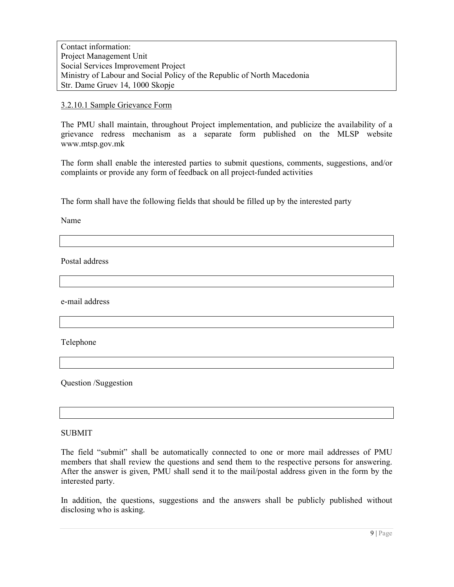Contact information: Project Management Unit Social Services Improvement Project Ministry of Labour and Social Policy of the Republic of North Macedonia Str. Dame Gruev 14, 1000 Skopje

#### 3.2.10.1 Sample Grievance Form

The PMU shall maintain, throughout Project implementation, and publicize the availability of a grievance redress mechanism as a separate form published on the MLSP website www.mtsp.gov.mk

The form shall enable the interested parties to submit questions, comments, suggestions, and/or complaints or provide any form of feedback on all project-funded activities

The form shall have the following fields that should be filled up by the interested party

Name

Postal address

e-mail address

Telephone

Question /Suggestion

#### SUBMIT

The field "submit" shall be automatically connected to one or more mail addresses of PMU members that shall review the questions and send them to the respective persons for answering. After the answer is given, PMU shall send it to the mail/postal address given in the form by the interested party.

In addition, the questions, suggestions and the answers shall be publicly published without disclosing who is asking.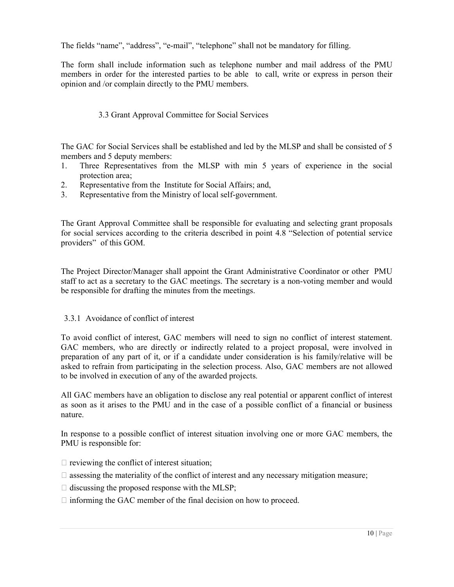The fields "name", "address", "e-mail", "telephone" shall not be mandatory for filling.

The form shall include information such as telephone number and mail address of the PMU members in order for the interested parties to be able to call, write or express in person their opinion and /or complain directly to the PMU members.

# 3.3 Grant Approval Committee for Social Services

The GAC for Social Services shall be established and led by the MLSP and shall be consisted of 5 members and 5 deputy members:

- 1. Three Representatives from the MLSP with min 5 years of experience in the social protection area;
- 2. Representative from the Institute for Social Affairs; and,
- 3. Representative from the Ministry of local self-government.

The Grant Approval Committee shall be responsible for evaluating and selecting grant proposals for social services according to the criteria described in point 4.8 "Selection of potential service providers" of this GOM.

The Project Director/Manager shall appoint the Grant Administrative Coordinator or other PMU staff to act as a secretary to the GAC meetings. The secretary is a non-voting member and would be responsible for drafting the minutes from the meetings.

# 3.3.1 Avoidance of conflict of interest

To avoid conflict of interest, GAC members will need to sign no conflict of interest statement. GAC members, who are directly or indirectly related to a project proposal, were involved in preparation of any part of it, or if a candidate under consideration is his family/relative will be asked to refrain from participating in the selection process. Also, GAC members are not allowed to be involved in execution of any of the awarded projects.

All GAC members have an obligation to disclose any real potential or apparent conflict of interest as soon as it arises to the PMU and in the case of a possible conflict of a financial or business nature.

In response to a possible conflict of interest situation involving one or more GAC members, the PMU is responsible for:

- $\Box$  reviewing the conflict of interest situation;
- $\Box$  assessing the materiality of the conflict of interest and any necessary mitigation measure;
- $\Box$  discussing the proposed response with the MLSP;
- $\Box$  informing the GAC member of the final decision on how to proceed.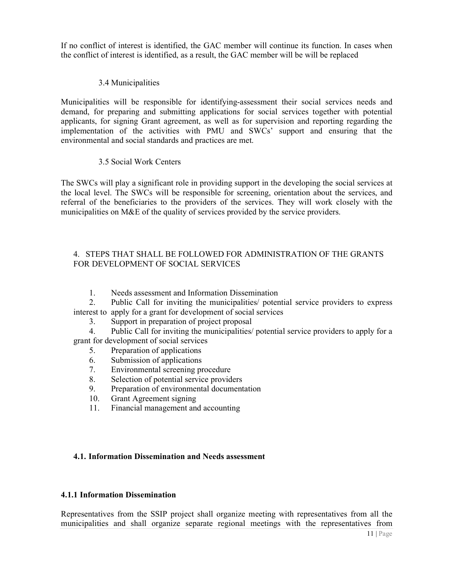If no conflict of interest is identified, the GAC member will continue its function. In cases when the conflict of interest is identified, as a result, the GAC member will be will be replaced If no conflict of interest is identified, the GAC member will continue its function. In cases when<br>the conflict of interest is identified, as a result, the GAC member will be will be replaced<br>3.4 Municipalities<br>Municipalit

#### 3.4 Municipalities

demand, for preparing and submitting applications for social services together with potential demand, for preparing and submitting applications for social services together with potential<br>applicants, for signing Grant agreement, as well as for supervision and reporting regarding the implementation of the activities with PMU and SWCs' support and ensuring that the environmental and social standards and practices are met. of the activities with PMU and<br>d social standards and practices are<br>cial Work Centers If no continue of interest is identified, the GAC member will continue in functions. In cases<br>
3.4 Municipalities<br>
Municipalities<br>
Municipalities<br>
Municipalities<br>
Municipalities<br>
Municipalities will be responsible for ide

#### 3.5 Social Work Centers

The SWCs will play a significant role in providing support in the developing the social services at the local level. The SWCs will be responsible for screening, orientation about the services, and referral of the beneficiaries to the providers of the services. They will work closely with the municipalities on M&E of the quality of services provided by the service providers.

# 4. STEPS THAT SHALL BE FOLLOWED FOR ADMINISTRATION OF THE GRANTS FOR DEVELOPMENT OF SOCIAL SERVICES quality of services provided by the service providers.<br>
BE FOLLOWED FOR ADMINISTRATION OF THE GRANTS<br>
F SOCIAL SERVICES<br>
ent and Information Dissemination<br>
inviting the municipalities/ potential service providers to expres

1. Needs assessment and Information Dissemination

2. Public Call for inviting the municipalities potential service providers to express interest to apply for a grant for development of social services

3. Support in preparation of project proposal

4. Public Call for inviting the municipalities/ potential service providers to apply for a grant for development of social services apply for a grant for development of social services<br>Support in preparation of project proposal<br>Public Call for inviting the municipalities/ potential service providers to apply for a<br>Velopment of social services<br>Stephario

- 5. Preparation of applications
- 6. Submission of applications
- 7. Environmental screening procedure
- 8. Selection of potential service providers
- 9. Preparation of environmental documentation
- 10. Grant Agreement signing
- 11. Financial management and accounting

#### **4.1. Information Dissemination and Needs assessment**

#### **4.1.1 Information Dissemination**

Representatives from the SSIP project shall organize meeting with representatives from all the municipalities and shall organize separate regional meetings with the representatives from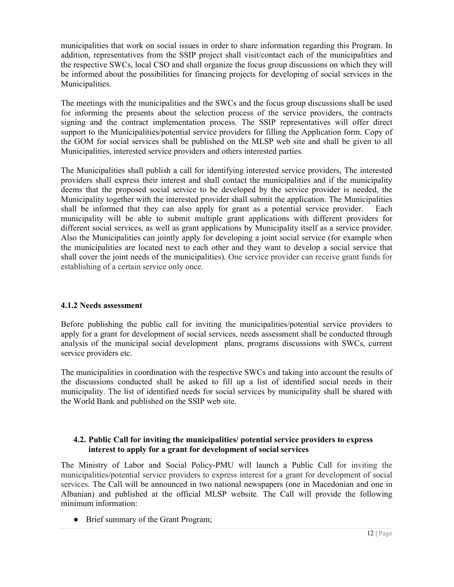municipalities that work on social issues in order to share information regarding this Program. In addition, representatives from the SSIP project shall visit/contact each of the municipalities and the respective SWCs, local CSO and shall organize the focus group discussions on which they will be informed about the possibilities for financing projects for developing of social services in the Municipalities.

The meetings with the municipalities and the SWCs and the focus group discussions shall be used for informing the presents about the selection process of the service providers, the contracts signing and the contract implementation process. The SSIP representatives will offer direct support to the Municipalities/potential service providers for filling the Application form. Copy of the GOM for social services shall be published on the MLSP web site and shall be given to all Municipalities, interested service providers and others interested parties.

The Municipalities shall publish a call for identifying interested service providers, The interested providers shall express their interest and shall contact the municipalities and if the municipality deems that the proposed social service to be developed by the service provider is needed, the Municipality together with the interested provider shall submit the application. The Municipalities shall be informed that they can also apply for grant as a potential service provider. Each municipality will be able to submit multiple grant applications with different providers for different social services, as well as grant applications by Municipality itself as a service provider. Also the Municipalities can jointly apply for developing a joint social service (for example when the municipalities are located next to each other and they want to develop a social service that shall cover the joint needs of the municipalities). One service provider can receive grant funds for establishing of a certain service only once.

#### **4.1.2 Needs assessment**

Before publishing the public call for inviting the municipalities/potential service providers to apply for a grant for development of social services, needs assessment shall be conducted through analysis of the municipal social development plans, programs discussions with SWCs, current service providers etc.

The municipalities in coordination with the respective SWCs and taking into account the results of the discussions conducted shall be asked to fill up a list of identified social needs in their municipality. The list of identified needs for social services by municipality shall be shared with the World Bank and published on the SSIP web site.

#### **4.2. Public Call for inviting the municipalities/ potential service providers to express interest to apply for a grant for development of social services**

The Ministry of Labor and Social Policy-PMU will launch a Public Call for inviting the municipalities/potential service providers to express interest for a grant for development of social services. The Call will be announced in two national newspapers (one in Macedonian and one in Albanian) and published at the official MLSP website. The Call will provide the following minimum information:

• Brief summary of the Grant Program;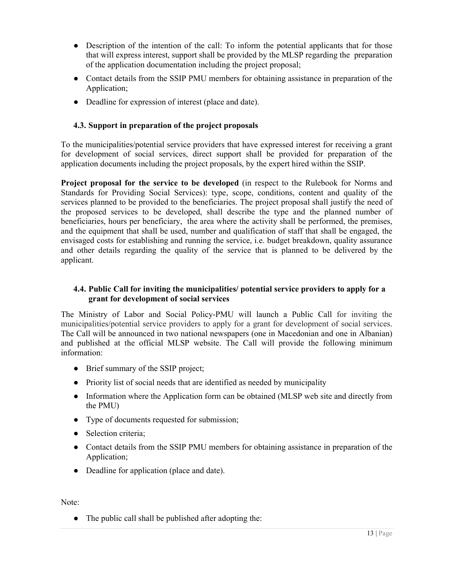- Description of the intention of the call: To inform the potential applicants that for those that will express interest, support shall be provided by the MLSP regarding the preparation of the application documentation including the project proposal;
- Contact details from the SSIP PMU members for obtaining assistance in preparation of the Application;
- Deadline for expression of interest (place and date).

#### **4.3. Support in preparation of the project proposals**

To the municipalities/potential service providers that have expressed interest for receiving a grant for development of social services, direct support shall be provided for preparation of the application documents including the project proposals, by the expert hired within the SSIP.

**Project proposal for the service to be developed** (in respect to the Rulebook for Norms and Standards for Providing Social Services): type, scope, conditions, content and quality of the services planned to be provided to the beneficiaries. The project proposal shall justify the need of the proposed services to be developed, shall describe the type and the planned number of beneficiaries, hours per beneficiary, the area where the activity shall be performed, the premises, and the equipment that shall be used, number and qualification of staff that shall be engaged, the envisaged costs for establishing and running the service, i.e. budget breakdown, quality assurance and other details regarding the quality of the service that is planned to be delivered by the applicant.

#### **4.4. Public Call for inviting the municipalities/ potential service providers to apply for a grant for development of social services**

The Ministry of Labor and Social Policy-PMU will launch a Public Call for inviting the municipalities/potential service providers to apply for a grant for development of social services. The Call will be announced in two national newspapers (one in Macedonian and one in Albanian) and published at the official MLSP website. The Call will provide the following minimum information:

- Brief summary of the SSIP project;
- Priority list of social needs that are identified as needed by municipality
- Information where the Application form can be obtained (MLSP web site and directly from the PMU)
- Type of documents requested for submission;
- Selection criteria:
- Contact details from the SSIP PMU members for obtaining assistance in preparation of the Application;
- Deadline for application (place and date).

Note:

• The public call shall be published after adopting the: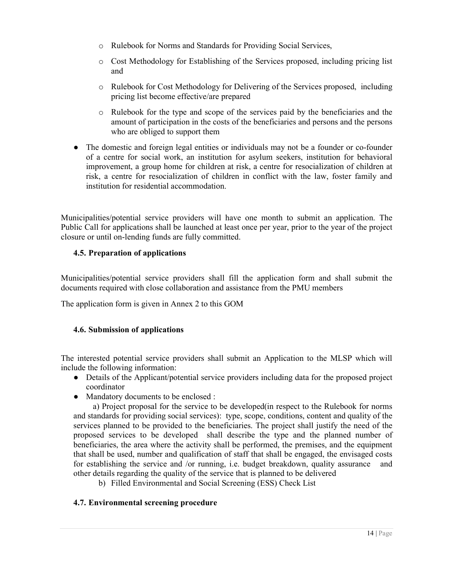- o Rulebook for Norms and Standards for Providing Social Services,
- o Cost Methodology for Establishing of the Services proposed, including pricing list and
- o Rulebook for Cost Methodology for Delivering of the Services proposed, including pricing list become effective/are prepared
- o Rulebook for the type and scope of the services paid by the beneficiaries and the amount of participation in the costs of the beneficiaries and persons and the persons who are obliged to support them
- The domestic and foreign legal entities or individuals may not be a founder or co-founder of a centre for social work, an institution for asylum seekers, institution for behavioral improvement, a group home for children at risk, a centre for resocialization of children at risk, a centre for resocialization of children in conflict with the law, foster family and institution for residential accommodation.

Municipalities/potential service providers will have one month to submit an application. The Public Call for applications shall be launched at least once per year, prior to the year of the project closure or until on-lending funds are fully committed.

# **4.5. Preparation of applications**

Municipalities/potential service providers shall fill the application form and shall submit the documents required with close collaboration and assistance from the PMU members

The application form is given in Annex 2 to this GOM

# **4.6. Submission of applications**

The interested potential service providers shall submit an Application to the MLSP which will include the following information:

- Details of the Applicant/potential service providers including data for the proposed project coordinator
- Mandatory documents to be enclosed :

 a) Project proposal for the service to be developed(in respect to the Rulebook for norms and standards for providing social services): type, scope, conditions, content and quality of the services planned to be provided to the beneficiaries. The project shall justify the need of the proposed services to be developed shall describe the type and the planned number of beneficiaries, the area where the activity shall be performed, the premises, and the equipment that shall be used, number and qualification of staff that shall be engaged, the envisaged costs for establishing the service and /or running, i.e. budget breakdown, quality assurance and other details regarding the quality of the service that is planned to be delivered

b) Filled Environmental and Social Screening (ESS) Check List

# **4.7. Environmental screening procedure**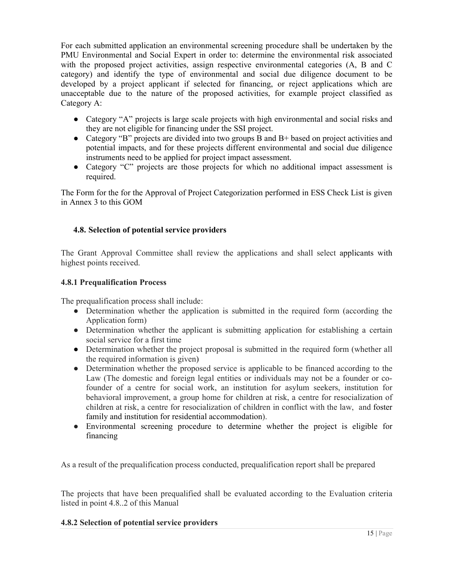For each submitted application an environmental screening procedure shall be undertaken by the PMU Environmental and Social Expert in order to: determine the environmental risk associated with the proposed project activities, assign respective environmental categories (A, B and C category) and identify the type of environmental and social due diligence document to be developed by a project applicant if selected for financing, or reject applications which are unacceptable due to the nature of the proposed activities, for example project classified as Category A:

- Category "A" projects is large scale projects with high environmental and social risks and they are not eligible for financing under the SSI project.
- Category "B" projects are divided into two groups B and B+ based on project activities and potential impacts, and for these projects different environmental and social due diligence instruments need to be applied for project impact assessment.
- Category "C" projects are those projects for which no additional impact assessment is required.

The Form for the for the Approval of Project Categorization performed in ESS Check List is given in Annex 3 to this GOM

# **4.8. Selection of potential service providers**

The Grant Approval Committee shall review the applications and shall select applicants with highest points received.

#### **4.8.1 Prequalification Process**

The prequalification process shall include:

- Determination whether the application is submitted in the required form (according the Application form)
- Determination whether the applicant is submitting application for establishing a certain social service for a first time
- Determination whether the project proposal is submitted in the required form (whether all the required information is given)
- Determination whether the proposed service is applicable to be financed according to the Law (The domestic and foreign legal entities or individuals may not be a founder or cofounder of a centre for social work, an institution for asylum seekers, institution for behavioral improvement, a group home for children at risk, a centre for resocialization of children at risk, a centre for resocialization of children in conflict with the law, and foster family and institution for residential accommodation).
- Environmental screening procedure to determine whether the project is eligible for financing

As a result of the prequalification process conducted, prequalification report shall be prepared

The projects that have been prequalified shall be evaluated according to the Evaluation criteria listed in point 4.8..2 of this Manual

#### **4.8.2 Selection of potential service providers**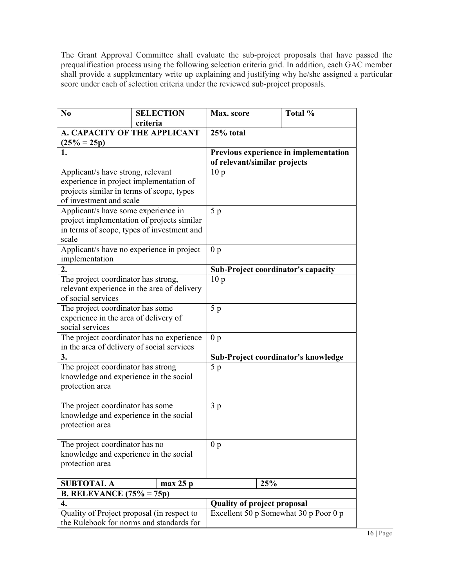The Grant Approval Committee shall evaluate the sub-project proposals that have passed the prequalification process using the following selection criteria grid. In addition, each GAC member shall provide a supplementary write up explaining and justifying why he/she assigned a particular score under each of selection criteria under the reviewed sub-project proposals.

| N <sub>0</sub>                              | <b>SELECTION</b>                           | Max. score                         | Total %                               |
|---------------------------------------------|--------------------------------------------|------------------------------------|---------------------------------------|
|                                             | criteria                                   |                                    |                                       |
| A. CAPACITY OF THE APPLICANT                |                                            | 25% total                          |                                       |
| $(25\% = 25p)$                              |                                            |                                    |                                       |
| 1.                                          |                                            | of relevant/similar projects       | Previous experience in implementation |
| Applicant/s have strong, relevant           |                                            | 10 <sub>p</sub>                    |                                       |
| experience in project implementation of     |                                            |                                    |                                       |
| projects similar in terms of scope, types   |                                            |                                    |                                       |
| of investment and scale                     |                                            |                                    |                                       |
| Applicant/s have some experience in         |                                            | 5 <sub>p</sub>                     |                                       |
|                                             | project implementation of projects similar |                                    |                                       |
|                                             | in terms of scope, types of investment and |                                    |                                       |
| scale                                       |                                            |                                    |                                       |
| Applicant/s have no experience in project   |                                            | 0 <sub>p</sub>                     |                                       |
| implementation                              |                                            |                                    |                                       |
| 2.                                          |                                            | Sub-Project coordinator's capacity |                                       |
| The project coordinator has strong,         |                                            | 10 <sub>p</sub>                    |                                       |
| relevant experience in the area of delivery |                                            |                                    |                                       |
| of social services                          |                                            |                                    |                                       |
| The project coordinator has some            |                                            | 5p                                 |                                       |
| experience in the area of delivery of       |                                            |                                    |                                       |
| social services                             |                                            |                                    |                                       |
|                                             | The project coordinator has no experience  | 0 <sub>p</sub>                     |                                       |
| in the area of delivery of social services  |                                            |                                    |                                       |
| 3.                                          |                                            |                                    | Sub-Project coordinator's knowledge   |
| The project coordinator has strong          |                                            | 5 <sub>p</sub>                     |                                       |
| knowledge and experience in the social      |                                            |                                    |                                       |
| protection area                             |                                            |                                    |                                       |
|                                             |                                            |                                    |                                       |
| The project coordinator has some            |                                            | 3 <sub>p</sub>                     |                                       |
| knowledge and experience in the social      |                                            |                                    |                                       |
| protection area                             |                                            |                                    |                                       |
| The project coordinator has no              |                                            | 0 <sub>p</sub>                     |                                       |
| knowledge and experience in the social      |                                            |                                    |                                       |
| protection area                             |                                            |                                    |                                       |
|                                             |                                            |                                    |                                       |
| <b>SUBTOTAL A</b>                           | max 25 p                                   | 25%                                |                                       |
| B. RELEVANCE $(75\% = 75p)$                 |                                            |                                    |                                       |
| 4.                                          |                                            | <b>Quality of project proposal</b> |                                       |
| Quality of Project proposal (in respect to  |                                            |                                    | Excellent 50 p Somewhat 30 p Poor 0 p |
| the Rulebook for norms and standards for    |                                            |                                    |                                       |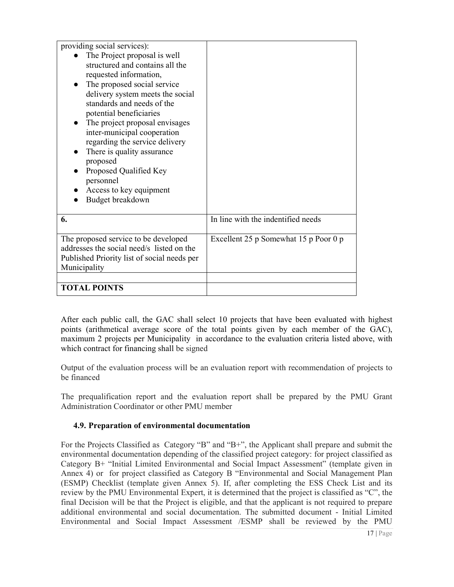| providing social services):                                                                                                                                                                                                                                                                                                                                                                                                                              |                                       |
|----------------------------------------------------------------------------------------------------------------------------------------------------------------------------------------------------------------------------------------------------------------------------------------------------------------------------------------------------------------------------------------------------------------------------------------------------------|---------------------------------------|
| The Project proposal is well<br>structured and contains all the<br>requested information,<br>The proposed social service<br>delivery system meets the social<br>standards and needs of the<br>potential beneficiaries<br>The project proposal envisages<br>inter-municipal cooperation<br>regarding the service delivery<br>There is quality assurance<br>proposed<br>Proposed Qualified Key<br>personnel<br>Access to key equipment<br>Budget breakdown |                                       |
| 6.                                                                                                                                                                                                                                                                                                                                                                                                                                                       | In line with the indentified needs    |
| The proposed service to be developed<br>addresses the social need/s listed on the<br>Published Priority list of social needs per<br>Municipality                                                                                                                                                                                                                                                                                                         | Excellent 25 p Somewhat 15 p Poor 0 p |
| <b>TOTAL POINTS</b>                                                                                                                                                                                                                                                                                                                                                                                                                                      |                                       |

After each public call, the GAC shall select 10 projects that have been evaluated with highest points (arithmetical average score of the total points given by each member of the GAC), maximum 2 projects per Municipality in accordance to the evaluation criteria listed above, with which contract for financing shall be signed

Output of the evaluation process will be an evaluation report with recommendation of projects to be financed

The prequalification report and the evaluation report shall be prepared by the PMU Grant Administration Coordinator or other PMU member

# **4.9. Preparation of environmental documentation**

For the Projects Classified as Category "B" and "B+", the Applicant shall prepare and submit the environmental documentation depending of the classified project category: for project classified as Category B+ "Initial Limited Environmental and Social Impact Assessment" (template given in Annex 4) or for project classified as Category B "Environmental and Social Management Plan (ESMP) Checklist (template given Annex 5). If, after completing the ESS Check List and its review by the PMU Environmental Expert, it is determined that the project is classified as "C", the final Decision will be that the Project is eligible, and that the applicant is not required to prepare additional environmental and social documentation. The submitted document - Initial Limited Environmental and Social Impact Assessment /ESMP shall be reviewed by the PMU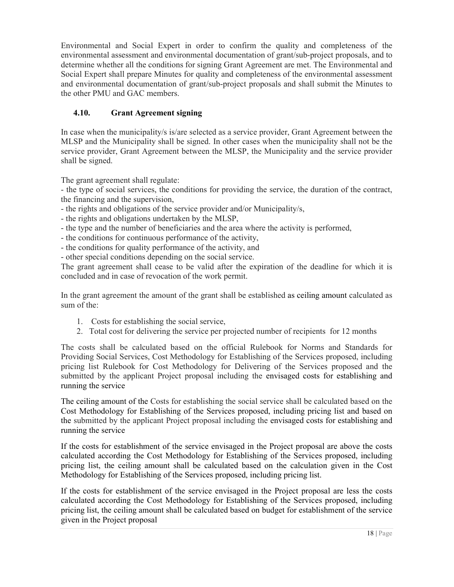Environmental and Social Expert in order to confirm the quality and completeness of the environmental assessment and environmental documentation of grant/sub-project proposals, and to determine whether all the conditions for signing Grant Agreement are met. The Environmental and Social Expert shall prepare Minutes for quality and completeness of the environmental assessment and environmental documentation of grant/sub-project proposals and shall submit the Minutes to the other PMU and GAC members.

# **4.10. Grant Agreement signing**

In case when the municipality/s is/are selected as a service provider, Grant Agreement between the MLSP and the Municipality shall be signed. In other cases when the municipality shall not be the service provider, Grant Agreement between the MLSP, the Municipality and the service provider shall be signed.

The grant agreement shall regulate:

- the type of social services, the conditions for providing the service, the duration of the contract, the financing and the supervision,

- the rights and obligations of the service provider and/or Municipality/s,
- the rights and obligations undertaken by the MLSP,
- the type and the number of beneficiaries and the area where the activity is performed,
- the conditions for continuous performance of the activity,
- the conditions for quality performance of the activity, and
- other special conditions depending on the social service.

The grant agreement shall cease to be valid after the expiration of the deadline for which it is concluded and in case of revocation of the work permit.

In the grant agreement the amount of the grant shall be established as ceiling amount calculated as sum of the:

- 1. Costs for establishing the social service,
- 2. Total cost for delivering the service per projected number of recipients for 12 months

The costs shall be calculated based on the official Rulebook for Norms and Standards for Providing Social Services, Cost Methodology for Establishing of the Services proposed, including pricing list Rulebook for Cost Methodology for Delivering of the Services proposed and the submitted by the applicant Project proposal including the envisaged costs for establishing and running the service

The ceiling amount of the Costs for establishing the social service shall be calculated based on the Cost Methodology for Establishing of the Services proposed, including pricing list and based on the submitted by the applicant Project proposal including the envisaged costs for establishing and running the service

If the costs for establishment of the service envisaged in the Project proposal are above the costs calculated according the Cost Methodology for Establishing of the Services proposed, including pricing list, the ceiling amount shall be calculated based on the calculation given in the Cost Methodology for Establishing of the Services proposed, including pricing list.

If the costs for establishment of the service envisaged in the Project proposal are less the costs calculated according the Cost Methodology for Establishing of the Services proposed, including pricing list, the ceiling amount shall be calculated based on budget for establishment of the service given in the Project proposal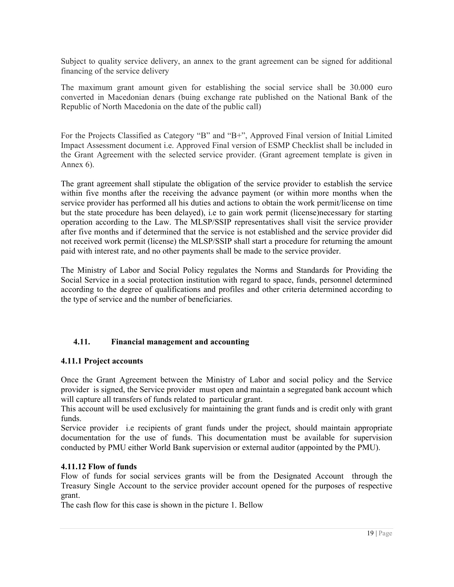Subject to quality service delivery, an annex to the grant agreement can be signed for additional financing of the service delivery

The maximum grant amount given for establishing the social service shall be 30.000 euro converted in Macedonian denars (buing exchange rate published on the National Bank of the Republic of North Macedonia on the date of the public call)

For the Projects Classified as Category "B" and "B+", Approved Final version of Initial Limited Impact Assessment document i.e. Approved Final version of ESMP Checklist shall be included in the Grant Agreement with the selected service provider. (Grant agreement template is given in Annex 6).

The grant agreement shall stipulate the obligation of the service provider to establish the service within five months after the receiving the advance payment (or within more months when the service provider has performed all his duties and actions to obtain the work permit/license on time but the state procedure has been delayed), i.e to gain work permit (license)necessary for starting operation according to the Law. The MLSP/SSIP representatives shall visit the service provider after five months and if determined that the service is not established and the service provider did not received work permit (license) the MLSP/SSIP shall start a procedure for returning the amount paid with interest rate, and no other payments shall be made to the service provider.

The Ministry of Labor and Social Policy regulates the Norms and Standards for Providing the Social Service in a social protection institution with regard to space, funds, personnel determined according to the degree of qualifications and profiles and other criteria determined according to the type of service and the number of beneficiaries.

#### **4.11. Financial management and accounting**

#### **4.11.1 Project accounts**

Once the Grant Agreement between the Ministry of Labor and social policy and the Service provider is signed, the Service provider must open and maintain a segregated bank account which will capture all transfers of funds related to particular grant.

This account will be used exclusively for maintaining the grant funds and is credit only with grant funds.

Service provider i.e recipients of grant funds under the project, should maintain appropriate documentation for the use of funds. This documentation must be available for supervision conducted by PMU either World Bank supervision or external auditor (appointed by the PMU).

#### **4.11.12 Flow of funds**

Flow of funds for social services grants will be from the Designated Account through the Treasury Single Account to the service provider account opened for the purposes of respective grant.

The cash flow for this case is shown in the picture 1. Bellow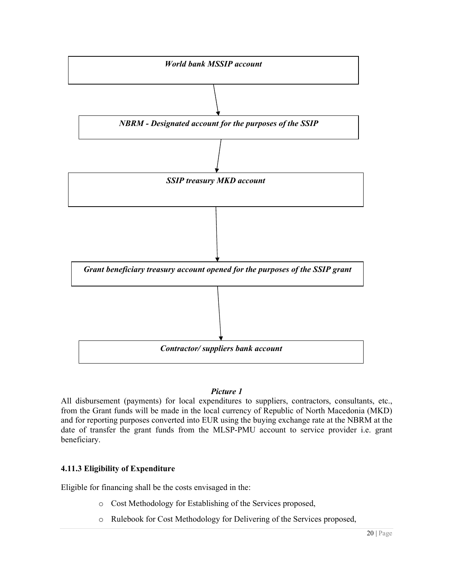

#### *Picture 1*

All disbursement (payments) for local expenditures to suppliers, contractors, consultants, etc., from the Grant funds will be made in the local currency of Republic of North Macedonia (MKD) and for reporting purposes converted into EUR using the buying exchange rate at the NBRM at the date of transfer the grant funds from the MLSP-PMU account to service provider i.e. grant beneficiary.

# **4.11.3 Eligibility of Expenditure**

Eligible for financing shall be the costs envisaged in the:

- o Cost Methodology for Establishing of the Services proposed,
- o Rulebook for Cost Methodology for Delivering of the Services proposed,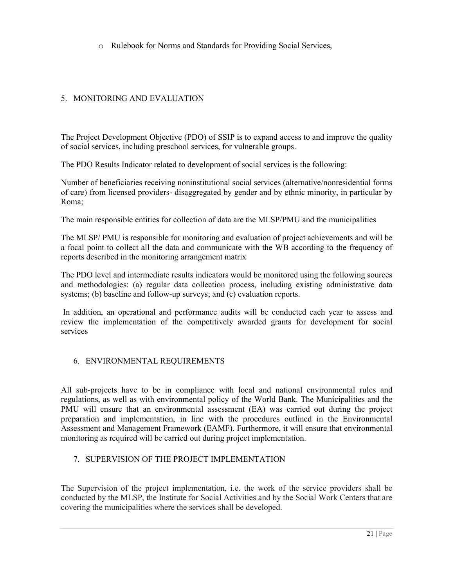o Rulebook for Norms and Standards for Providing Social Services Services,

# 5. MONITORING AND EVALUATION

The Project Development Objective (PDO) of SSIP is to expand access to and improve the quality of social services, including preschool services, for vulnerable groups.

The PDO Results Indicator related to development of social services is the following:

Number of beneficiaries receiving noninstitutional social services (alternative/nonresidential forms of care) from licensed providers- disaggregated by gender and by ethnic minority, in particular by Roma; Project Development Objective (PDO) of SSIP is to expand access to and improve the quality<br>
cial services, including preschool services, for vulnerable groups.<br>
PDO Results Indicator related to development of social servic

The main responsible entities for collection of data are the MLSP/PMU and the municipalities

The MLSP/ PMU is responsible for monitoring and evaluation of project achievements and will be a focal point to collect all the data and communicate with the WB according to the frequency of reports described in the monitoring arrangement matrix

The PDO level and intermediate results indicators would be monitored using the following sources The PDO level and intermediate results indicators would be monitored using the following sources and methodologies: (a) regular data collection process, including existing administrative data systems; (b) baseline and follow-up surveys; and (c) evaluation reports.

In addition, an operational and performance audits will be conducted each year to assess and In addition, an operational and performance audits will be conducted each year to assess and review the implementation of the competitively awarded grants for development for social services

# 6. ENVIRONMENTAL REQUIREMENTS

All sub-projects have to be in compliance with local and national environmental rules and regulations, as well as with environmental policy of the World Bank. The Municipalities and the PMU will ensure that an environmental assessment (EA) was carried out during the project preparation and implementation, in line with the procedures outlined in the Environmental Assessment and Management Framework (EAMF). Furthermore, it will ensure that environmental monitoring as required will be carried out during project implementation. Not the meric interaction is oscill services identative/nonesisted remains and the monitority, in particular by Roma;<br>The main responsible entities for collection of data are the MLSP/PMU and the municipalities be main res All sub-projects have to be in compliance with local and national envergulations, as well as with environmental policy of the World Bank. The l PMU will ensure that an environmental assessment (EA) was carried of preparati

#### 7. SUPERVISION OF THE PROJECT IMPLEMENTATION

The Supervision of the project implementation, i.e. the work of the service providers shall be conducted by the MLSP, the Institute for Social Activities and by the Social Work Centers that are covering the municipalities where the services shall be developed.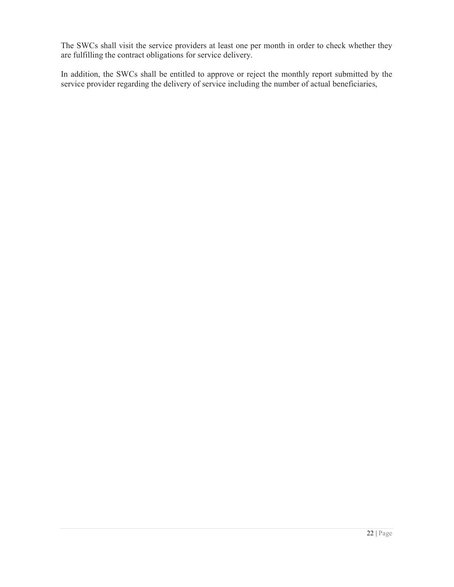The SWCs shall visit the service providers at least one per month in order to check whether they are fulfilling the contract obligations for service delivery.

In addition, the SWCs shall be entitled to approve or reject the monthly report submitted by the service provider regarding the delivery of service including the number of actual beneficiaries,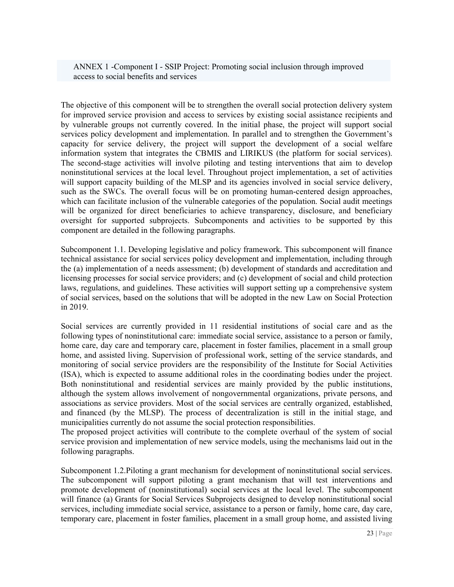ANNEX 1 -Component I - SSIP Project: Promoting social inclusion through improved access to social benefits and services

The objective of this component will be to strengthen the overall social protection delivery system for improved service provision and access to services by existing social assistance recipients and by vulnerable groups not currently covered. In the initial phase, the project will support social services policy development and implementation. In parallel and to strengthen the Government's capacity for service delivery, the project will support the development of a social welfare information system that integrates the CBMIS and LIRIKUS (the platform for social services). The second-stage activities will involve piloting and testing interventions that aim to develop noninstitutional services at the local level. Throughout project implementation, a set of activities will support capacity building of the MLSP and its agencies involved in social service delivery, such as the SWCs. The overall focus will be on promoting human-centered design approaches, which can facilitate inclusion of the vulnerable categories of the population. Social audit meetings will be organized for direct beneficiaries to achieve transparency, disclosure, and beneficiary oversight for supported subprojects. Subcomponents and activities to be supported by this component are detailed in the following paragraphs.

Subcomponent 1.1. Developing legislative and policy framework. This subcomponent will finance technical assistance for social services policy development and implementation, including through the (a) implementation of a needs assessment; (b) development of standards and accreditation and licensing processes for social service providers; and (c) development of social and child protection laws, regulations, and guidelines. These activities will support setting up a comprehensive system of social services, based on the solutions that will be adopted in the new Law on Social Protection in 2019.

Social services are currently provided in 11 residential institutions of social care and as the following types of noninstitutional care: immediate social service, assistance to a person or family, home care, day care and temporary care, placement in foster families, placement in a small group home, and assisted living. Supervision of professional work, setting of the service standards, and monitoring of social service providers are the responsibility of the Institute for Social Activities (ISA), which is expected to assume additional roles in the coordinating bodies under the project. Both noninstitutional and residential services are mainly provided by the public institutions, although the system allows involvement of nongovernmental organizations, private persons, and associations as service providers. Most of the social services are centrally organized, established, and financed (by the MLSP). The process of decentralization is still in the initial stage, and municipalities currently do not assume the social protection responsibilities.

The proposed project activities will contribute to the complete overhaul of the system of social service provision and implementation of new service models, using the mechanisms laid out in the following paragraphs.

Subcomponent 1.2.Piloting a grant mechanism for development of noninstitutional social services. The subcomponent will support piloting a grant mechanism that will test interventions and promote development of (noninstitutional) social services at the local level. The subcomponent will finance (a) Grants for Social Services Subprojects designed to develop noninstitutional social services, including immediate social service, assistance to a person or family, home care, day care, temporary care, placement in foster families, placement in a small group home, and assisted living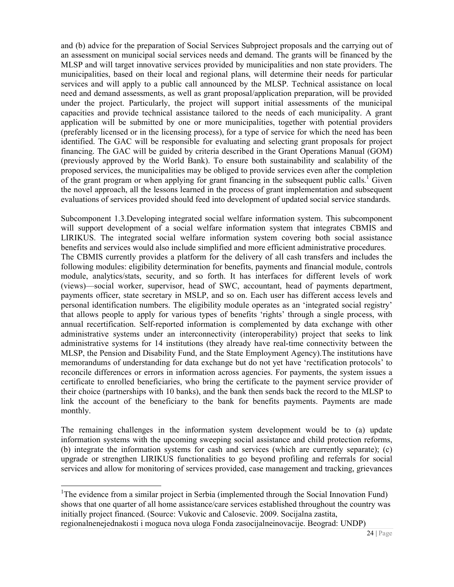and (b) advice for the preparation of Social Services Subproject proposals and the carrying out of an assessment on municipal social services needs and demand. The grants will be financed by the MLSP and will target innovative services provided by municipalities and non state providers. The municipalities, based on their local and regional plans, will determine their needs for particular services and will apply to a public call announced by the MLSP. Technical assistance on local need and demand assessments, as well as grant proposal/application preparation, will be provided under the project. Particularly, the project will support initial assessments of the municipal capacities and provide technical assistance tailored to the needs of each municipality. A grant application will be submitted by one or more municipalities, together with potential providers (preferably licensed or in the licensing process), for a type of service for which the need has been identified. The GAC will be responsible for evaluating and selecting grant proposals for project financing. The GAC will be guided by criteria described in the Grant Operations Manual (GOM) (previously approved by the World Bank). To ensure both sustainability and scalability of the proposed services, the municipalities may be obliged to provide services even after the completion of the grant program or when applying for grant financing in the subsequent public calls.<sup>1</sup> Given the novel approach, all the lessons learned in the process of grant implementation and subsequent evaluations of services provided should feed into development of updated social service standards.

Subcomponent 1.3.Developing integrated social welfare information system. This subcomponent will support development of a social welfare information system that integrates CBMIS and LIRIKUS. The integrated social welfare information system covering both social assistance benefits and services would also include simplified and more efficient administrative procedures. The CBMIS currently provides a platform for the delivery of all cash transfers and includes the following modules: eligibility determination for benefits, payments and financial module, controls module, analytics/stats, security, and so forth. It has interfaces for different levels of work (views)—social worker, supervisor, head of SWC, accountant, head of payments department, payments officer, state secretary in MSLP, and so on. Each user has different access levels and personal identification numbers. The eligibility module operates as an 'integrated social registry' that allows people to apply for various types of benefits 'rights' through a single process, with annual recertification. Self-reported information is complemented by data exchange with other administrative systems under an interconnectivity (interoperability) project that seeks to link administrative systems for 14 institutions (they already have real-time connectivity between the MLSP, the Pension and Disability Fund, and the State Employment Agency).The institutions have memorandums of understanding for data exchange but do not yet have 'rectification protocols' to reconcile differences or errors in information across agencies. For payments, the system issues a certificate to enrolled beneficiaries, who bring the certificate to the payment service provider of their choice (partnerships with 10 banks), and the bank then sends back the record to the MLSP to link the account of the beneficiary to the bank for benefits payments. Payments are made monthly.

The remaining challenges in the information system development would be to (a) update information systems with the upcoming sweeping social assistance and child protection reforms, (b) integrate the information systems for cash and services (which are currently separate); (c) upgrade or strengthen LIRIKUS functionalities to go beyond profiling and referrals for social services and allow for monitoring of services provided, case management and tracking, grievances

 $\overline{a}$ 

<sup>&</sup>lt;sup>1</sup>The evidence from a similar project in Serbia (implemented through the Social Innovation Fund) shows that one quarter of all home assistance/care services established throughout the country was initially project financed. (Source: Vukovic and Calosevic. 2009. Socijalna zastita, regionalnenejednakosti i moguca nova uloga Fonda zasocijalneinovacije. Beograd: UNDP)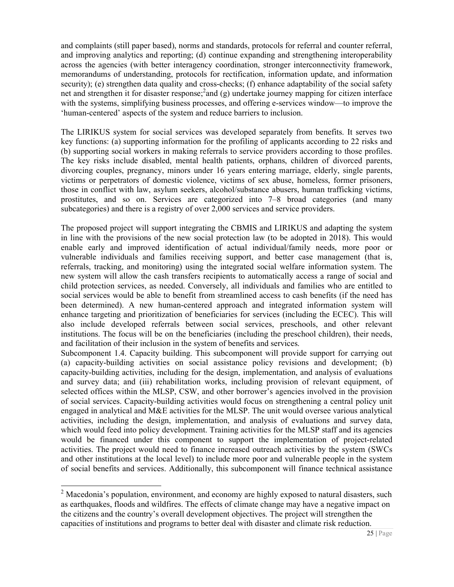and complaints (still paper based), norms and standards, protocols for referral and counter referral, and improving analytics and reporting; (d) continue expanding and strengthening interoperability across the agencies (with better interagency coordination, stronger interconnectivity framework, memorandums of understanding, protocols for rectification, information update, and information security); (e) strengthen data quality and cross-checks; (f) enhance adaptability of the social safety net and strengthen it for disaster response;<sup>2</sup> and (g) undertake journey mapping for citizen interface with the systems, simplifying business processes, and offering e-services window—to improve the 'human-centered' aspects of the system and reduce barriers to inclusion.

The LIRIKUS system for social services was developed separately from benefits. It serves two key functions: (a) supporting information for the profiling of applicants according to 22 risks and (b) supporting social workers in making referrals to service providers according to those profiles. The key risks include disabled, mental health patients, orphans, children of divorced parents, divorcing couples, pregnancy, minors under 16 years entering marriage, elderly, single parents, victims or perpetrators of domestic violence, victims of sex abuse, homeless, former prisoners, those in conflict with law, asylum seekers, alcohol/substance abusers, human trafficking victims, prostitutes, and so on. Services are categorized into 7–8 broad categories (and many subcategories) and there is a registry of over 2,000 services and service providers.

The proposed project will support integrating the CBMIS and LIRIKUS and adapting the system in line with the provisions of the new social protection law (to be adopted in 2018). This would enable early and improved identification of actual individual/family needs, more poor or vulnerable individuals and families receiving support, and better case management (that is, referrals, tracking, and monitoring) using the integrated social welfare information system. The new system will allow the cash transfers recipients to automatically access a range of social and child protection services, as needed. Conversely, all individuals and families who are entitled to social services would be able to benefit from streamlined access to cash benefits (if the need has been determined). A new human-centered approach and integrated information system will enhance targeting and prioritization of beneficiaries for services (including the ECEC). This will also include developed referrals between social services, preschools, and other relevant institutions. The focus will be on the beneficiaries (including the preschool children), their needs, and facilitation of their inclusion in the system of benefits and services.

Subcomponent 1.4. Capacity building. This subcomponent will provide support for carrying out (a) capacity-building activities on social assistance policy revisions and development; (b) capacity-building activities, including for the design, implementation, and analysis of evaluations and survey data; and (iii) rehabilitation works, including provision of relevant equipment, of selected offices within the MLSP, CSW, and other borrower's agencies involved in the provision of social services. Capacity-building activities would focus on strengthening a central policy unit engaged in analytical and M&E activities for the MLSP. The unit would oversee various analytical activities, including the design, implementation, and analysis of evaluations and survey data, which would feed into policy development. Training activities for the MLSP staff and its agencies would be financed under this component to support the implementation of project-related activities. The project would need to finance increased outreach activities by the system (SWCs and other institutions at the local level) to include more poor and vulnerable people in the system of social benefits and services. Additionally, this subcomponent will finance technical assistance

 $\overline{a}$ 

 $2$  Macedonia's population, environment, and economy are highly exposed to natural disasters, such as earthquakes, floods and wildfires. The effects of climate change may have a negative impact on the citizens and the country's overall development objectives. The project will strengthen the capacities of institutions and programs to better deal with disaster and climate risk reduction.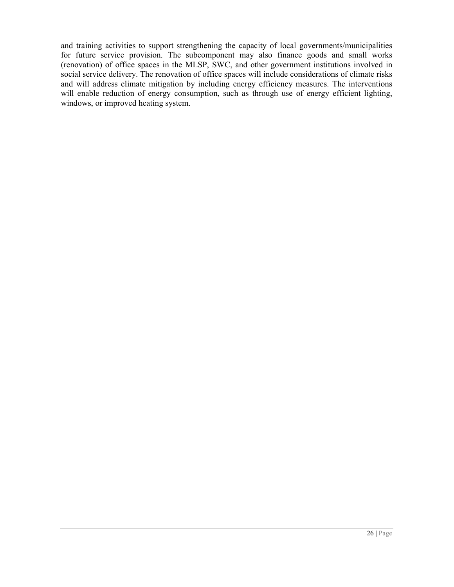and training activities to support strengthening the capacity of local governments/municipalities for future service provision. The subcomponent may also finance goods and small works (renovation) of office spaces in the MLSP, SWC, and other government institutions involved in social service delivery. The renovation of office spaces will include considerations of climate risks and will address climate mitigation by including energy efficiency measures. The interventions will enable reduction of energy consumption, such as through use of energy efficient lighting, windows, or improved heating system.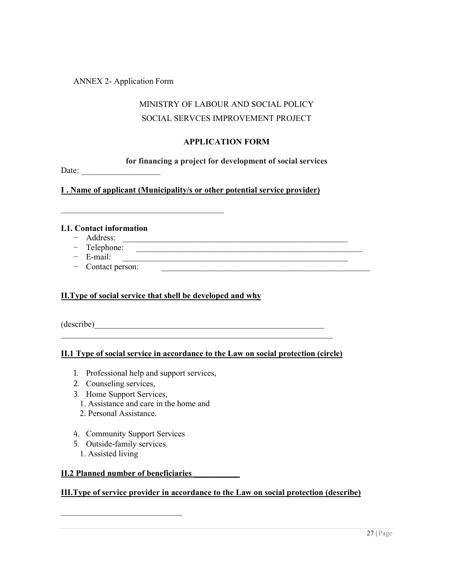ANNEX 2- Application Form

# MINISTRY OF LABOUR AND SOCIAL POLICY SOCIAL SERVCES IMPROVEMENT PROJECT

#### **APPLICATION FORM**

**for financing a project for development of social services**

Date: \_\_\_\_\_\_\_\_\_\_\_\_\_\_\_\_\_\_\_

**I . Name of applicant (Municipality/s or other potential service provider)**

#### **I.1. Contact information**

- − Address: \_\_\_\_\_\_\_\_\_\_\_\_\_\_\_\_\_\_\_\_\_\_\_\_\_\_\_\_\_\_\_\_\_\_\_\_\_\_\_\_\_\_\_\_\_\_\_\_\_\_\_\_\_\_
- − Telephone: \_\_\_\_\_\_\_\_\_\_\_\_\_\_\_\_\_\_\_\_\_\_\_\_\_\_\_\_\_\_\_\_\_\_\_\_\_\_\_\_\_\_\_\_\_\_\_\_\_\_\_\_\_\_
- − E-mail:
- − Contact person: \_\_\_\_\_\_\_\_\_\_\_\_\_\_\_\_\_\_\_\_\_\_\_\_\_\_\_\_\_\_\_\_\_\_\_\_\_\_\_\_\_\_\_\_\_\_\_\_\_\_

#### **II.Type of social service that shell be developed and why**

 $\mathcal{L}_\text{max}$  , and the set of the set of the set of the set of the set of the set of the set of the set of the set of the set of the set of the set of the set of the set of the set of the set of the set of the set of the

(describe)\_\_\_\_\_\_\_\_\_\_\_\_\_\_\_\_\_\_\_\_\_\_\_\_\_\_\_\_\_\_\_\_\_\_\_\_\_\_\_\_\_\_\_\_\_\_\_\_\_\_\_\_\_\_\_

#### **II.1 Type of social service in accordance to the Law on social protection (circle)**

\_\_\_\_\_\_\_\_\_\_\_\_\_\_\_\_\_\_\_\_\_\_\_\_\_\_\_\_\_\_\_\_\_\_\_\_\_\_\_\_\_\_\_\_\_\_\_\_\_\_\_\_\_\_\_\_\_\_\_\_\_\_\_\_\_

- 1. Professional help and support services,
- 2. Counseling services,
- 3. Home Support Services,
	- 1. Assistance and care in the home and
	- 2. Personal Assistance.
- 4. Community Support Services
- 5. Outside-family services.
	- 1. Assisted living

#### **II.2 Planned number of beneficiaries \_\_\_\_\_\_\_\_\_\_\_**

 $\mathcal{L}_\text{max}$  , and the set of the set of the set of the set of the set of the set of the set of the set of the set of the set of the set of the set of the set of the set of the set of the set of the set of the set of the

#### **III.Type of service provider in accordance to the Law on social protection (describe)**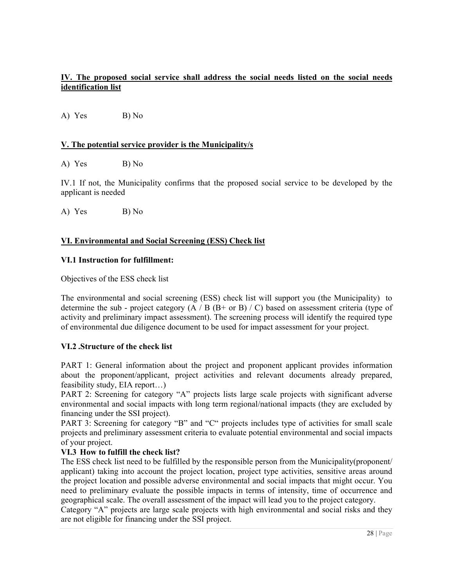### **IV. The proposed social service shall address the social needs listed on the social needs identification list**

A) Yes B) No

#### **V. The potential service provider is the Municipality/s**

A) Yes B) No

IV.1 If not, the Municipality confirms that the proposed social service to be developed by the applicant is needed

A) Yes B) No

#### **VI. Environmental and Social Screening (ESS) Check list**

#### **VI.1 Instruction for fulfillment:**

Objectives of the ESS check list

The environmental and social screening (ESS) check list will support you (the Municipality) to determine the sub - project category  $(A / B (B + or B) / C)$  based on assessment criteria (type of activity and preliminary impact assessment). The screening process will identify the required type of environmental due diligence document to be used for impact assessment for your project.

#### **VI.2 .Structure of the check list**

PART 1: General information about the project and proponent applicant provides information about the proponent/applicant, project activities and relevant documents already prepared, feasibility study, EIA report…)

PART 2: Screening for category "A" projects lists large scale projects with significant adverse environmental and social impacts with long term regional/national impacts (they are excluded by financing under the SSI project).

PART 3: Screening for category "B" and "C" projects includes type of activities for small scale projects and preliminary assessment criteria to evaluate potential environmental and social impacts of your project.

#### **VI.3 How to fulfill the check list?**

The ESS check list need to be fulfilled by the responsible person from the Municipality(proponent/ applicant) taking into account the project location, project type activities, sensitive areas around the project location and possible adverse environmental and social impacts that might occur. You need to preliminary evaluate the possible impacts in terms of intensity, time of occurrence and geographical scale. The overall assessment of the impact will lead you to the project category. Category "A" projects are large scale projects with high environmental and social risks and they are not eligible for financing under the SSI project.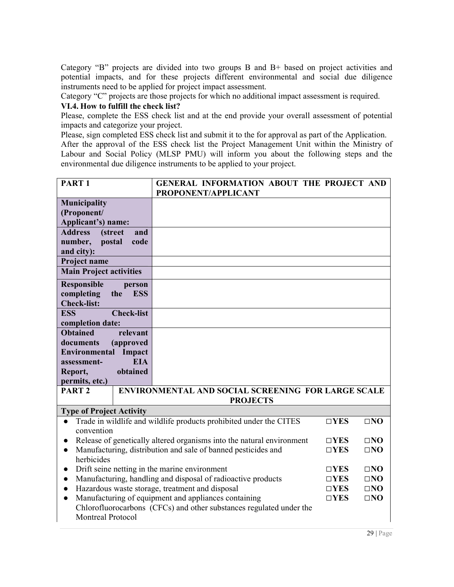Category "B" projects are divided into two groups B and B+ based on project activities and potential impacts, and for these projects different environmental and social due diligence instruments need to be applied for project impact assessment.

Category "C" projects are those projects for which no additional impact assessment is required.

#### **VI.4. How to fulfill the check list?**

Please, complete the ESS check list and at the end provide your overall assessment of potential impacts and categorize your project.

Please, sign completed ESS check list and submit it to the for approval as part of the Application.

After the approval of the ESS check list the Project Management Unit within the Ministry of Labour and Social Policy (MLSP PMU) will inform you about the following steps and the environmental due diligence instruments to be applied to your project.

| <b>PART1</b>                      |                   | GENERAL INFORMATION ABOUT THE PROJECT AND<br>PROPONENT/APPLICANT      |               |              |  |
|-----------------------------------|-------------------|-----------------------------------------------------------------------|---------------|--------------|--|
| <b>Municipality</b>               |                   |                                                                       |               |              |  |
|                                   |                   |                                                                       |               |              |  |
| (Proponent/                       |                   |                                                                       |               |              |  |
| Applicant's) name:                |                   |                                                                       |               |              |  |
| <b>Address</b><br><i>(street)</i> | and               |                                                                       |               |              |  |
| number,<br>postal                 | code              |                                                                       |               |              |  |
| and city):                        |                   |                                                                       |               |              |  |
| Project name                      |                   |                                                                       |               |              |  |
| <b>Main Project activities</b>    |                   |                                                                       |               |              |  |
| <b>Responsible</b>                | person            |                                                                       |               |              |  |
| completing                        | <b>ESS</b><br>the |                                                                       |               |              |  |
| <b>Check-list:</b>                |                   |                                                                       |               |              |  |
| <b>ESS</b>                        | <b>Check-list</b> |                                                                       |               |              |  |
| completion date:                  |                   |                                                                       |               |              |  |
| <b>Obtained</b>                   | relevant          |                                                                       |               |              |  |
| documents                         | (approved         |                                                                       |               |              |  |
| <b>Environmental</b>              | Impact            |                                                                       |               |              |  |
| assessment-                       | <b>EIA</b>        |                                                                       |               |              |  |
| Report,                           | obtained          |                                                                       |               |              |  |
| permits, etc.)                    |                   |                                                                       |               |              |  |
| PART <sub>2</sub>                 |                   | ENVIRONMENTAL AND SOCIAL SCREENING FOR LARGE SCALE                    |               |              |  |
|                                   |                   | <b>PROJECTS</b>                                                       |               |              |  |
| <b>Type of Project Activity</b>   |                   |                                                                       |               |              |  |
| $\bullet$                         |                   | Trade in wildlife and wildlife products prohibited under the CITES    | $\square$ YES | $\square$ NO |  |
| convention                        |                   |                                                                       |               |              |  |
| $\bullet$                         |                   | Release of genetically altered organisms into the natural environment | $\Box$ YES    | $\square$ NO |  |
| $\bullet$                         |                   | Manufacturing, distribution and sale of banned pesticides and         | $\square$ YES | $\square$ NO |  |
| herbicides                        |                   |                                                                       |               |              |  |
| $\bullet$                         |                   | Drift seine netting in the marine environment                         | $\Box$ YES    | $\square$ NO |  |
| $\bullet$                         |                   | Manufacturing, handling and disposal of radioactive products          | $\Box$ YES    | $\square$ NO |  |
| $\bullet$                         |                   | Hazardous waste storage, treatment and disposal                       | $\Box$ YES    | $\square$ NO |  |
| $\bullet$                         |                   |                                                                       |               |              |  |
|                                   |                   |                                                                       |               |              |  |
|                                   |                   | Manufacturing of equipment and appliances containing                  | $\Box$ YES    | $\square$ NO |  |
| <b>Montreal Protocol</b>          |                   | Chlorofluorocarbons (CFCs) and other substances regulated under the   |               |              |  |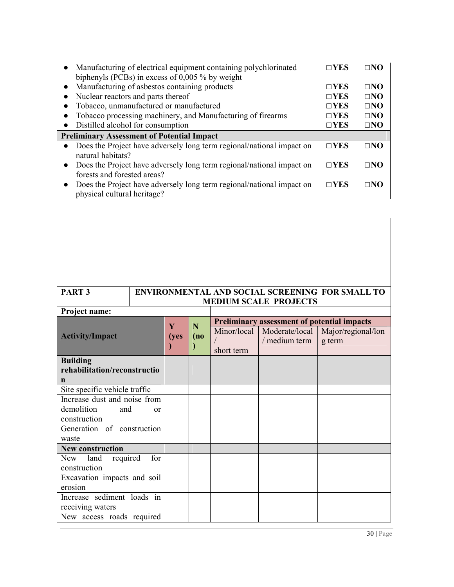|           | • Manufacturing of electrical equipment containing polychlorinated<br>biphenyls (PCBs) in excess of $0,005$ % by weight | $\sqcap$ YES      | ⊓NΩ          |
|-----------|-------------------------------------------------------------------------------------------------------------------------|-------------------|--------------|
| $\bullet$ | Manufacturing of asbestos containing products                                                                           | $\square$ YES     | $\square$ NO |
| $\bullet$ | Nuclear reactors and parts thereof                                                                                      | $\square$ YES     | $\Box$ NO    |
|           | Tobacco, unmanufactured or manufactured                                                                                 | $\Box$ <b>YES</b> | $\square$ NO |
|           | Tobacco processing machinery, and Manufacturing of firearms                                                             | $\square$ YES     | $\Box$ NO    |
| $\bullet$ | Distilled alcohol for consumption                                                                                       | $\square$ YES     | $\square$ NO |
|           |                                                                                                                         |                   |              |
|           | <b>Preliminary Assessment of Potential Impact</b>                                                                       |                   |              |
| $\bullet$ | Does the Project have adversely long term regional/national impact on<br>natural habitats?                              | $\square$ YES     | $\Box$ NO    |
| $\bullet$ | Does the Project have adversely long term regional/national impact on                                                   | $\square$ YES     | $\square$ NO |
|           | forests and forested areas?                                                                                             |                   |              |

| PART <sub>3</sub>             | <b>ENVIRONMENTAL AND SOCIAL SCREENING FOR SMALL TO</b> |      |                           |                                                    |                              |  |  |  |  |
|-------------------------------|--------------------------------------------------------|------|---------------------------|----------------------------------------------------|------------------------------|--|--|--|--|
|                               | <b>MEDIUM SCALE PROJECTS</b>                           |      |                           |                                                    |                              |  |  |  |  |
| Project name:                 |                                                        |      |                           |                                                    |                              |  |  |  |  |
|                               | Y                                                      | N    |                           | <b>Preliminary assessment of potential impacts</b> |                              |  |  |  |  |
| <b>Activity/Impact</b>        | (yes                                                   | (no) | Minor/local<br>short term | Moderate/local<br>/ medium term                    | Major/regional/lon<br>g term |  |  |  |  |
| <b>Building</b>               |                                                        |      |                           |                                                    |                              |  |  |  |  |
| rehabilitation/reconstructio  |                                                        |      |                           |                                                    |                              |  |  |  |  |
| n                             |                                                        |      |                           |                                                    |                              |  |  |  |  |
| Site specific vehicle traffic |                                                        |      |                           |                                                    |                              |  |  |  |  |
| Increase dust and noise from  |                                                        |      |                           |                                                    |                              |  |  |  |  |
| demolition<br>and             | or                                                     |      |                           |                                                    |                              |  |  |  |  |
| construction                  |                                                        |      |                           |                                                    |                              |  |  |  |  |
| Generation of construction    |                                                        |      |                           |                                                    |                              |  |  |  |  |
| waste                         |                                                        |      |                           |                                                    |                              |  |  |  |  |
| <b>New construction</b>       |                                                        |      |                           |                                                    |                              |  |  |  |  |
| New land required             | for                                                    |      |                           |                                                    |                              |  |  |  |  |
| construction                  |                                                        |      |                           |                                                    |                              |  |  |  |  |
| Excavation impacts and soil   |                                                        |      |                           |                                                    |                              |  |  |  |  |
| erosion                       |                                                        |      |                           |                                                    |                              |  |  |  |  |
| Increase sediment loads in    |                                                        |      |                           |                                                    |                              |  |  |  |  |
| receiving waters              |                                                        |      |                           |                                                    |                              |  |  |  |  |
| New access roads required     |                                                        |      |                           |                                                    |                              |  |  |  |  |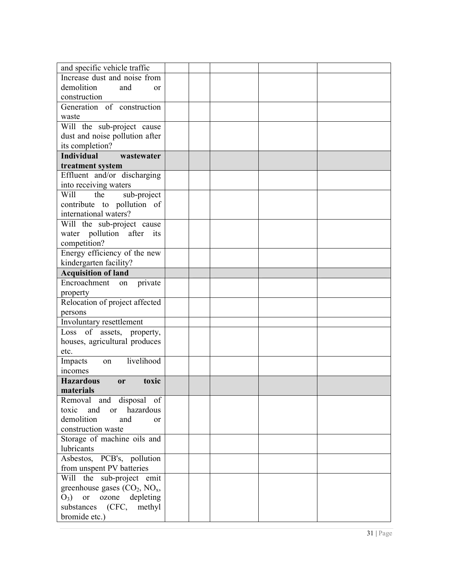| and specific vehicle traffic                                          |  |  |  |
|-----------------------------------------------------------------------|--|--|--|
| Increase dust and noise from                                          |  |  |  |
| demolition<br>and<br><sub>or</sub>                                    |  |  |  |
| construction                                                          |  |  |  |
| Generation of construction                                            |  |  |  |
| waste                                                                 |  |  |  |
| Will the sub-project cause                                            |  |  |  |
| dust and noise pollution after                                        |  |  |  |
| its completion?                                                       |  |  |  |
| <b>Individual</b><br>wastewater                                       |  |  |  |
| treatment system                                                      |  |  |  |
| Effluent and/or discharging                                           |  |  |  |
| into receiving waters                                                 |  |  |  |
| Will<br>the<br>sub-project                                            |  |  |  |
| contribute to pollution of                                            |  |  |  |
| international waters?                                                 |  |  |  |
| Will the sub-project cause                                            |  |  |  |
| water pollution after its                                             |  |  |  |
| competition?                                                          |  |  |  |
| Energy efficiency of the new                                          |  |  |  |
| kindergarten facility?                                                |  |  |  |
| <b>Acquisition of land</b>                                            |  |  |  |
| Encroachment<br>private<br>on                                         |  |  |  |
| property                                                              |  |  |  |
| Relocation of project affected                                        |  |  |  |
| persons                                                               |  |  |  |
| Involuntary resettlement                                              |  |  |  |
| Loss of assets, property,                                             |  |  |  |
| houses, agricultural produces                                         |  |  |  |
| etc.                                                                  |  |  |  |
| livelihood<br>Impacts<br>on                                           |  |  |  |
| <i>n</i> comes                                                        |  |  |  |
| <b>Hazardous</b><br>toxic<br><b>or</b>                                |  |  |  |
| materials                                                             |  |  |  |
| Removal and disposal of<br>hazardous<br>toxic<br>and<br><sub>or</sub> |  |  |  |
| demolition<br>and                                                     |  |  |  |
| <sub>or</sub><br>construction waste                                   |  |  |  |
| Storage of machine oils and                                           |  |  |  |
| lubricants                                                            |  |  |  |
| Asbestos, PCB's, pollution                                            |  |  |  |
| from unspent PV batteries                                             |  |  |  |
| Will the sub-project emit                                             |  |  |  |
| greenhouse gases $(CO_2, NO_x,$                                       |  |  |  |
| $O_3$ ) or ozone depleting                                            |  |  |  |
| substances<br>(CFC,<br>methyl                                         |  |  |  |
| bromide etc.)                                                         |  |  |  |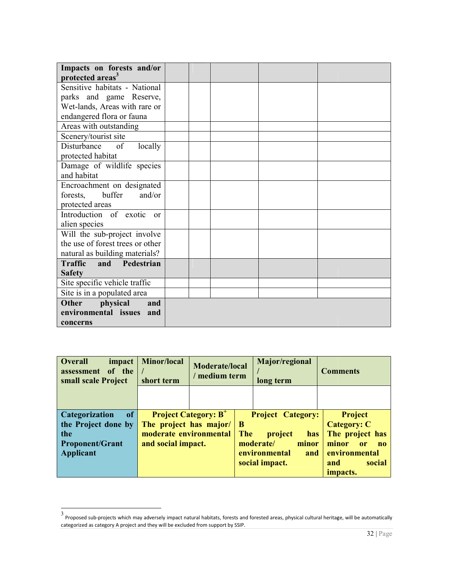| Impacts on forests and/or               |  |  |  |
|-----------------------------------------|--|--|--|
| protected areas <sup>3</sup>            |  |  |  |
| Sensitive habitats - National           |  |  |  |
| parks and game Reserve,                 |  |  |  |
| Wet-lands, Areas with rare or           |  |  |  |
| endangered flora or fauna               |  |  |  |
| Areas with outstanding                  |  |  |  |
| Scenery/tourist site                    |  |  |  |
| Disturbance of<br>locally               |  |  |  |
| protected habitat                       |  |  |  |
| Damage of wildlife species              |  |  |  |
| and habitat                             |  |  |  |
| Encroachment on designated              |  |  |  |
| and/or<br>buffer<br>forests,            |  |  |  |
| protected areas                         |  |  |  |
| Introduction of exotic<br><sub>or</sub> |  |  |  |
| alien species                           |  |  |  |
| Will the sub-project involve            |  |  |  |
| the use of forest trees or other        |  |  |  |
| natural as building materials?          |  |  |  |
| <b>Traffic</b><br>and Pedestrian        |  |  |  |
| <b>Safety</b>                           |  |  |  |
| Site specific vehicle traffic           |  |  |  |
| Site is in a populated area             |  |  |  |
| <b>Other</b><br>physical<br>and         |  |  |  |
| environmental issues<br>and             |  |  |  |
| concerns                                |  |  |  |

| <b>Overall</b><br>impact<br>of the<br>assessment<br>small scale Project | <b>Minor/local</b><br>short term |                                        | Major/regional<br><b>Moderate/local</b><br>medium term<br>long term |                          | <b>Comments</b>             |
|-------------------------------------------------------------------------|----------------------------------|----------------------------------------|---------------------------------------------------------------------|--------------------------|-----------------------------|
|                                                                         |                                  |                                        |                                                                     |                          |                             |
| <sub>of</sub><br><b>Categorization</b>                                  |                                  | <b>Project Category: B<sup>+</sup></b> |                                                                     | <b>Project Category:</b> | Project                     |
| the Project done by                                                     | The project has major/           |                                        | $\mathbf B$                                                         |                          | <b>Category: C</b>          |
| the                                                                     | moderate environmental           |                                        | <b>The</b>                                                          | project<br><b>has</b>    | The project has             |
| <b>Proponent/Grant</b>                                                  | and social impact.               |                                        |                                                                     | moderate/<br>minor       | minor<br>or<br>$\mathbf{n}$ |
| <b>Applicant</b>                                                        |                                  |                                        |                                                                     | environmental<br>and     | environmental               |
|                                                                         |                                  |                                        |                                                                     | social impact.           | social<br>and               |
|                                                                         |                                  |                                        |                                                                     |                          | <i>impacts.</i>             |

 3 Proposed sub-projects which may adversely impact natural habitats, forests and forested areas, physical cultural heritage, will be automat categorized as category A project and they will be excluded from support by SSIP. projects which may adversely impact natural habitats, forests and forested areas, physical cultural heritage, will be automatically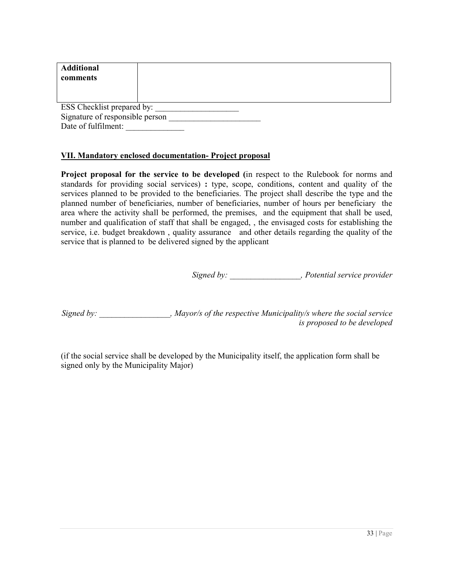| <b>Additional</b><br>comments   |  |  |  |  |  |
|---------------------------------|--|--|--|--|--|
| ESS Checklist prepared by:      |  |  |  |  |  |
| Signature of responsible person |  |  |  |  |  |
| Date of fulfilment:             |  |  |  |  |  |

#### **VII. Mandatory enclosed documentation- Project proposal**

**Project proposal for the service to be developed (**in respect to the Rulebook for norms and standards for providing social services) **:** type, scope, conditions, content and quality of the services planned to be provided to the beneficiaries. The project shall describe the type and the planned number of beneficiaries, number of beneficiaries, number of hours per beneficiary the area where the activity shall be performed, the premises, and the equipment that shall be used, number and qualification of staff that shall be engaged, , the envisaged costs for establishing the service, i.e. budget breakdown , quality assurance and other details regarding the quality of the service that is planned to be delivered signed by the applicant

*Signed by: \_\_\_\_\_\_\_\_\_\_\_\_\_\_\_\_\_, Potential service provider* 

*Signed by: \_\_\_\_\_\_\_\_\_\_\_\_\_\_\_\_\_, Mayor/s of the respective Municipality/s where the social service is proposed to be developed* 

(if the social service shall be developed by the Municipality itself, the application form shall be signed only by the Municipality Major)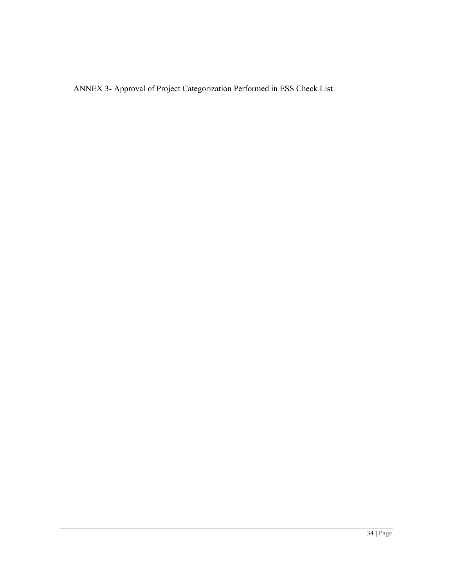ANNEX 3- Approval of Project Categorization Performed in ESS Check List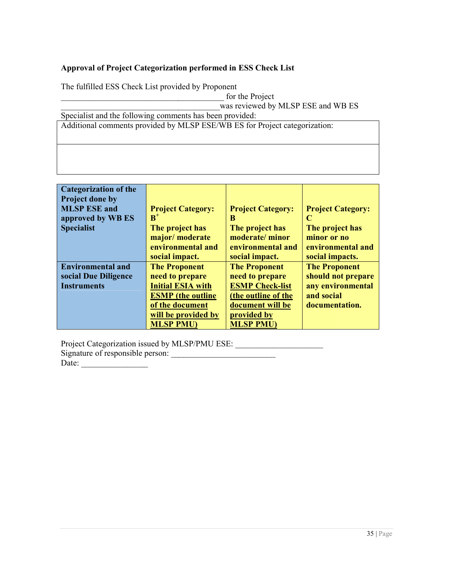# **Approval of Project Categorization performed in ESS Check List**

The fulfilled ESS Check List provided by Proponent

\_\_\_\_\_\_\_\_\_\_\_\_\_\_\_\_\_\_\_\_\_\_\_\_\_\_\_\_\_\_\_\_\_\_\_\_\_\_was reviewed by M the MLSP ESE and WB ES LSP Specialist and the following comments has been provided: Specialist and the following comments has been provided:<br>Additional comments provided by MLSP ESE/WB ES for Project categorization:

| <b>Categorization of the</b> |                          |                          |                          |
|------------------------------|--------------------------|--------------------------|--------------------------|
|                              |                          |                          |                          |
| Project done by              |                          |                          |                          |
| <b>MLSP ESE and</b>          | <b>Project Category:</b> | <b>Project Category:</b> | <b>Project Category:</b> |
| approved by WB ES            | $B^+$                    | B                        | C                        |
| <b>Specialist</b>            | The project has          | The project has          | The project has          |
|                              | major/moderate           | moderate/minor           | minor or no              |
|                              | environmental and        | environmental and        | environmental and        |
|                              | social impact.           | social impact.           | social impacts.          |
| <b>Environmental and</b>     | <b>The Proponent</b>     | <b>The Proponent</b>     | <b>The Proponent</b>     |
| social Due Diligence         | need to prepare          | need to prepare          | should not prepare       |
| <b>Instruments</b>           | <b>Initial ESIA with</b> | <b>ESMP Check-list</b>   | any environmental        |
|                              | <b>ESMP</b> (the outline | (the outline of the      | and social               |
|                              | of the document          | document will be         | documentation.           |
|                              | will be provided by      | provided by              |                          |
|                              | <b>MLSP PMU)</b>         | <b>MLSP PMU)</b>         |                          |

Project Categorization issued by MLSP/PMU ESE: \_\_\_\_\_\_\_\_\_\_\_\_\_\_\_\_\_\_\_\_\_\_\_\_\_\_\_\_\_\_\_\_\_ Signature of responsible person:

 $Date:$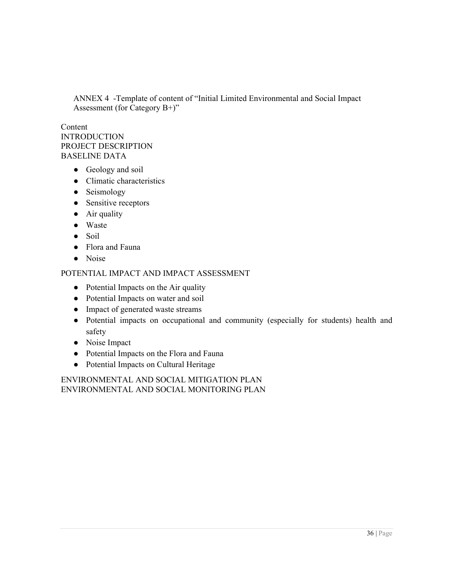ANNEX 4 -Template of content of "Initial Limited Environmental and Social Impact Assessment (for Category B+)"

#### Content INTRODUCTION PROJECT DESCRIPTION BASELINE DATA

- Geology and soil
- Climatic characteristics
- Seismology
- Sensitive receptors
- Air quality
- Waste
- Soil
- Flora and Fauna
- Noise

#### POTENTIAL IMPACT AND IMPACT ASSESSMENT

- Potential Impacts on the Air quality
- Potential Impacts on water and soil
- Impact of generated waste streams
- Potential impacts on occupational and community (especially for students) health and safety
- Noise Impact
- Potential Impacts on the Flora and Fauna
- Potential Impacts on Cultural Heritage

ENVIRONMENTAL AND SOCIAL MITIGATION PLAN ENVIRONMENTAL AND SOCIAL MONITORING PLAN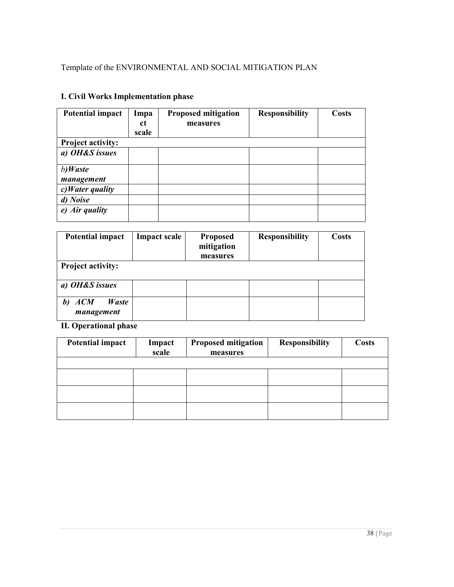| <b>Potential impact</b>  | Impa  | <b>Proposed mitigation</b> | <b>Responsibility</b> | Costs |
|--------------------------|-------|----------------------------|-----------------------|-------|
|                          | ct    | measures                   |                       |       |
|                          | scale |                            |                       |       |
| <b>Project activity:</b> |       |                            |                       |       |
| a) OH&S issues           |       |                            |                       |       |
| b)Waste<br>management    |       |                            |                       |       |
| $c) Water$ quality       |       |                            |                       |       |
| d) Noise                 |       |                            |                       |       |
| $e)$ Air quality         |       |                            |                       |       |

# **I. Civil Works Implementation phase**

| <b>Potential impact</b>                  | <b>Impact scale</b> | <b>Proposed</b><br>mitigation<br>measures | <b>Responsibility</b> | Costs |
|------------------------------------------|---------------------|-------------------------------------------|-----------------------|-------|
| <b>Project activity:</b>                 |                     |                                           |                       |       |
| a) OH&S issues                           |                     |                                           |                       |       |
| <b>ACM</b><br><b>Waste</b><br>management |                     |                                           |                       |       |

**II. Operational phase** 

| <b>Potential impact</b> | Impact<br>scale | <b>Proposed mitigation</b><br>measures | <b>Responsibility</b> | <b>Costs</b> |
|-------------------------|-----------------|----------------------------------------|-----------------------|--------------|
|                         |                 |                                        |                       |              |
|                         |                 |                                        |                       |              |
|                         |                 |                                        |                       |              |
|                         |                 |                                        |                       |              |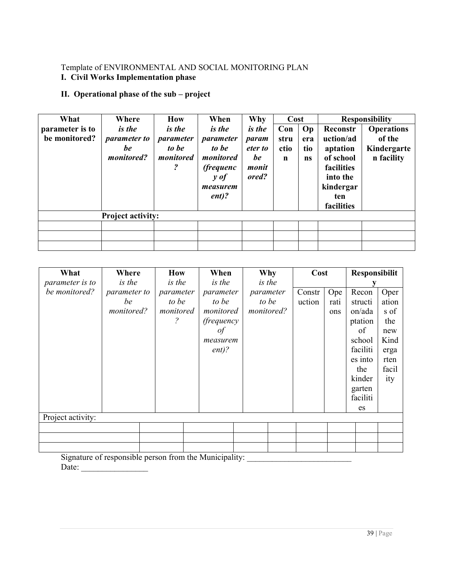# Template of ENVIRONMENTAL AND SOCIAL MONITORING PLAN

#### **I. Civil Works Implementation phase**

# **II. Operational phase of the sub – project**

| What            | Where                    | <b>How</b>              | When                | Why           | Cost        |           |            | <b>Responsibility</b> |
|-----------------|--------------------------|-------------------------|---------------------|---------------|-------------|-----------|------------|-----------------------|
| parameter is to | <i>is the</i>            | <i>is the</i>           | <i>is the</i>       | <i>is the</i> | Con         | Op        | Reconstr   | <b>Operations</b>     |
| be monitored?   | <i>parameter to</i>      | parameter               | parameter           | param         | stru        | era       | uction/ad  | of the                |
|                 | be                       | to be                   | to be               | eter to       | ctio        | tio       | aptation   | Kindergarte           |
|                 | monitored?               | monitored               | monitored           | be            | $\mathbf n$ | <b>ns</b> | of school  | n facility            |
|                 |                          | $\overline{\mathbf{c}}$ | <i>(frequenc)</i>   | monit         |             |           | facilities |                       |
|                 |                          |                         | $\boldsymbol{y}$ of | ored?         |             |           | into the   |                       |
|                 |                          |                         | measurem            |               |             |           | kindergar  |                       |
|                 |                          |                         | $ent$ ?             |               |             |           | ten        |                       |
|                 |                          |                         |                     |               |             |           | facilities |                       |
|                 | <b>Project activity:</b> |                         |                     |               |             |           |            |                       |
|                 |                          |                         |                     |               |             |           |            |                       |
|                 |                          |                         |                     |               |             |           |            |                       |
|                 |                          |                         |                     |               |             |           |            |                       |

| What              | Where                                                  | <b>How</b>               | When               | Why           | Cost   |      | Responsibilit |       |
|-------------------|--------------------------------------------------------|--------------------------|--------------------|---------------|--------|------|---------------|-------|
| parameter is to   | <i>is the</i>                                          | <i>is the</i>            | <i>is the</i>      | <i>is the</i> |        |      |               |       |
| be monitored?     | parameter to                                           | parameter                | parameter          | parameter     | Constr | Ope  | Recon         | Oper  |
|                   | be                                                     | to be                    | to be              | to be         | uction | rati | structi       | ation |
|                   | monitored?                                             | monitored                | monitored          | monitored?    |        | ons  | on/ada        | s of  |
|                   |                                                        | $\overline{\mathcal{E}}$ | <i>(frequency)</i> |               |        |      | ptation       | the   |
|                   |                                                        |                          | of                 |               |        |      | of            | new   |
|                   |                                                        |                          | measurem           |               |        |      | school        | Kind  |
|                   |                                                        |                          | $ent$ ?            |               |        |      | faciliti      | erga  |
|                   |                                                        |                          |                    |               |        |      | es into       | rten  |
|                   |                                                        |                          |                    |               |        |      | the           | facil |
|                   |                                                        |                          |                    |               |        |      | kinder        | ity   |
|                   |                                                        |                          |                    |               |        |      | garten        |       |
|                   |                                                        |                          |                    |               |        |      | faciliti      |       |
|                   |                                                        |                          |                    |               |        |      | es            |       |
| Project activity: |                                                        |                          |                    |               |        |      |               |       |
|                   |                                                        |                          |                    |               |        |      |               |       |
|                   |                                                        |                          |                    |               |        |      |               |       |
|                   |                                                        |                          |                    |               |        |      |               |       |
|                   | Signature of negociately regions from the Musicipality |                          |                    |               |        |      |               |       |

Signature of responsible person from the Municipality: \_\_\_\_\_\_\_\_\_\_\_\_\_\_\_\_\_\_\_\_\_\_\_\_\_\_  $Date:$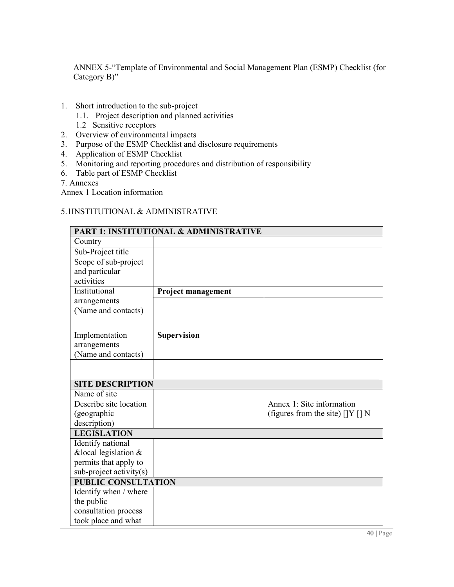ANNEX 5-"Template of Environmental and Social Management Plan (ESMP) Checklist (for Category B)"

- 1. Short introduction to the sub-project
	- 1.1. Project description and planned activities
	- 1.2 Sensitive receptors
- 2. Overview of environmental impacts
- 3. Purpose of the ESMP Checklist and disclosure requirements
- 4. Application of ESMP Checklist
- 5. Monitoring and reporting procedures and distribution of responsibility
- 6. Table part of ESMP Checklist

7. Annexes

Annex 1 Location information

#### 5.1INSTITUTIONAL & ADMINISTRATIVE

|                           | <b>PART 1: INSTITUTIONAL &amp; ADMINISTRATIVE</b> |                                             |
|---------------------------|---------------------------------------------------|---------------------------------------------|
| Country                   |                                                   |                                             |
| Sub-Project title         |                                                   |                                             |
| Scope of sub-project      |                                                   |                                             |
| and particular            |                                                   |                                             |
| activities                |                                                   |                                             |
| Institutional             | Project management                                |                                             |
| arrangements              |                                                   |                                             |
| (Name and contacts)       |                                                   |                                             |
|                           |                                                   |                                             |
| Implementation            | <b>Supervision</b>                                |                                             |
| arrangements              |                                                   |                                             |
| (Name and contacts)       |                                                   |                                             |
|                           |                                                   |                                             |
|                           |                                                   |                                             |
| <b>SITE DESCRIPTION</b>   |                                                   |                                             |
| Name of site              |                                                   |                                             |
| Describe site location    |                                                   | Annex 1: Site information                   |
| (geographic               |                                                   | (figures from the site) $[$ [ $]$ Y $[$ ] N |
| description)              |                                                   |                                             |
| <b>LEGISLATION</b>        |                                                   |                                             |
| Identify national         |                                                   |                                             |
| &local legislation &      |                                                   |                                             |
| permits that apply to     |                                                   |                                             |
| $sub-project activity(s)$ |                                                   |                                             |
| PUBLIC CONSULTATION       |                                                   |                                             |
| Identify when / where     |                                                   |                                             |
| the public                |                                                   |                                             |
| consultation process      |                                                   |                                             |
| took place and what       |                                                   |                                             |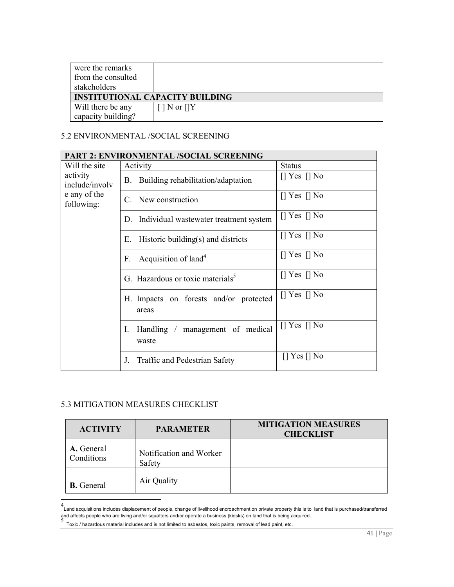| were the remarks                       |                    |
|----------------------------------------|--------------------|
| from the consulted                     |                    |
| stakeholders                           |                    |
| <b>INSTITUTIONAL CAPACITY BUILDING</b> |                    |
|                                        |                    |
| Will there be any                      | $[$   N or $[$   Y |

# 5.2 ENVIRONMENTAL /SOCIAL SCREENING

|                            | <b>PART 2: ENVIRONMENTAL /SOCIAL SCREENING</b>  |                          |
|----------------------------|-------------------------------------------------|--------------------------|
| Will the site              | Activity                                        | <b>Status</b>            |
| activity<br>include/involv | Building rehabilitation/adaptation<br>B.        | $\lceil$ Yes $\lceil$ No |
| e any of the<br>following: | C. New construction                             | $\lceil$ Yes $\lceil$ No |
|                            | Individual wastewater treatment system<br>D.    | $\lceil$ Yes $\lceil$ No |
|                            | Historic building $(s)$ and districts<br>Е.     | $\lceil$ Yes $\lceil$ No |
|                            | Acquisition of land <sup>4</sup><br>F.          | $\lceil$ Yes $\lceil$ No |
|                            | G. Hazardous or toxic materials <sup>5</sup>    | $\lceil$ Yes $\lceil$ No |
|                            | H. Impacts on forests and/or protected<br>areas | $\lceil$ Yes $\lceil$ No |
|                            | Handling / management of medical<br>Ι.<br>waste | [] Yes [] No             |
|                            | J.<br>Traffic and Pedestrian Safety             | $\lceil$ Yes $\lceil$ No |

### 5.3 MITIGATION MEASURES CHECKLIST

| <b>ACTIVITY</b>          | <b>PARAMETER</b>                  | <b>MITIGATION MEASURES</b><br><b>CHECKLIST</b> |
|--------------------------|-----------------------------------|------------------------------------------------|
| A. General<br>Conditions | Notification and Worker<br>Safety |                                                |
| <b>B.</b> General        | Air Quality                       |                                                |

 4 Land acquisitions includes displacement of people, change of livelihood encroachment on private property this is to land that is purchased/transferred and affects people who are living and/or squatters and/or operate a business (kiosks) on land that is being acquired.<br>5<br>「Toxic / hazardous material includes and is not limited to asbestos, toxic paints, removal of lead pai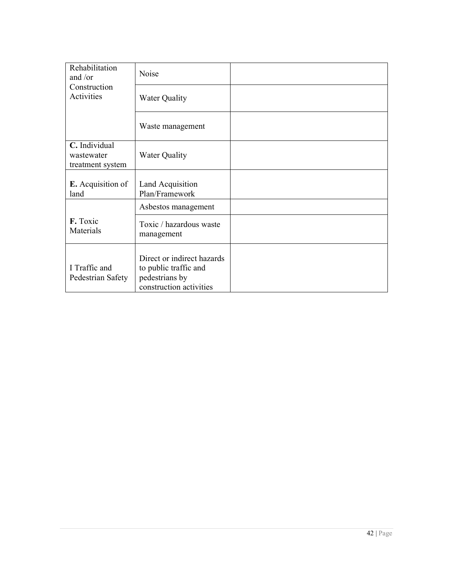| Rehabilitation<br>and / $or$                    | Noise                                                                                            |  |
|-------------------------------------------------|--------------------------------------------------------------------------------------------------|--|
| Construction<br>Activities                      | <b>Water Quality</b>                                                                             |  |
|                                                 | Waste management                                                                                 |  |
| C. Individual<br>wastewater<br>treatment system | <b>Water Quality</b>                                                                             |  |
| <b>E.</b> Acquisition of<br>land                | Land Acquisition<br>Plan/Framework                                                               |  |
|                                                 | Asbestos management                                                                              |  |
| F. Toxic<br>Materials                           | Toxic / hazardous waste<br>management                                                            |  |
| I Traffic and<br>Pedestrian Safety              | Direct or indirect hazards<br>to public traffic and<br>pedestrians by<br>construction activities |  |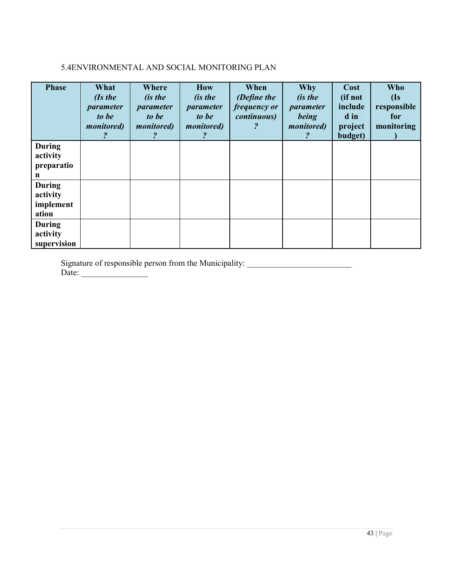# 5.4ENVIRONMENTAL AND SOCIAL MONITORING PLAN

| <b>Phase</b>                                    | What<br>$l$ <i>Is the</i><br>parameter<br>to be<br><i>monitored</i> ) | Where<br><i>(is the</i><br>parameter<br>to be<br><i>monitored</i> ) | <b>How</b><br><i>(is the</i><br>parameter<br>to be<br><i>monitored</i> ) | When<br>(Define the<br>frequency or<br><i>continuous</i> ) | Why<br><i>(is the</i><br>parameter<br>being<br><i>monitored</i> ) | Cost<br>(if not<br>include<br>d in<br>project<br>budget) | <b>Who</b><br>$\overline{\text{d}}\text{s}$<br>responsible<br>for<br>monitoring |
|-------------------------------------------------|-----------------------------------------------------------------------|---------------------------------------------------------------------|--------------------------------------------------------------------------|------------------------------------------------------------|-------------------------------------------------------------------|----------------------------------------------------------|---------------------------------------------------------------------------------|
| <b>During</b><br>activity<br>preparatio<br>n    |                                                                       |                                                                     |                                                                          |                                                            |                                                                   |                                                          |                                                                                 |
| <b>During</b><br>activity<br>implement<br>ation |                                                                       |                                                                     |                                                                          |                                                            |                                                                   |                                                          |                                                                                 |
| <b>During</b><br>activity<br>supervision        |                                                                       |                                                                     |                                                                          |                                                            |                                                                   |                                                          |                                                                                 |

Signature of responsible person from the Municipality: \_\_\_\_\_\_\_\_\_\_\_\_\_\_\_\_\_\_\_\_\_\_\_\_\_ Date: \_\_\_\_\_\_\_\_\_\_\_\_\_\_\_\_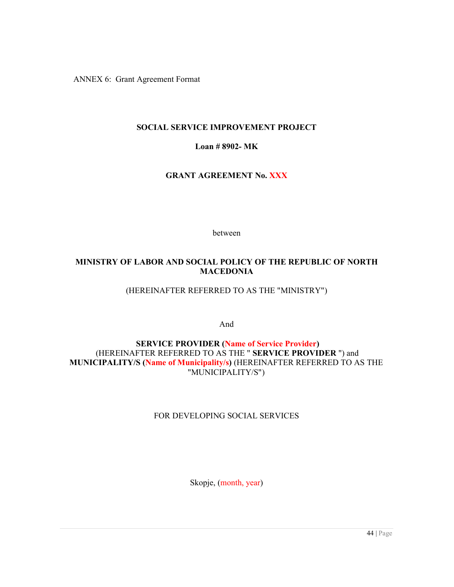ANNEX 6: Grant Agreement Format

#### **SOCIAL SERVICE IMPROVEMENT PROJECT**

#### **Loan # 8902- MK**

#### **GRANT AGREEMENT No. XXX**

between

#### **MINISTRY OF LABOR AND SOCIAL POLICY OF THE REPUBLIC OF NORTH MACEDONIA**

#### (HEREINAFTER REFERRED TO AS THE "MINISTRY")

And

# **SERVICE PROVIDER (Name of Service Provider)**  (HEREINAFTER REFERRED TO AS THE " **SERVICE PROVIDER** ") and **MUNICIPALITY/S (Name of Municipality/s)** (HEREINAFTER REFERRED TO AS THE "MUNICIPALITY/S")

#### FOR DEVELOPING SOCIAL SERVICES

Skopje, (month, year)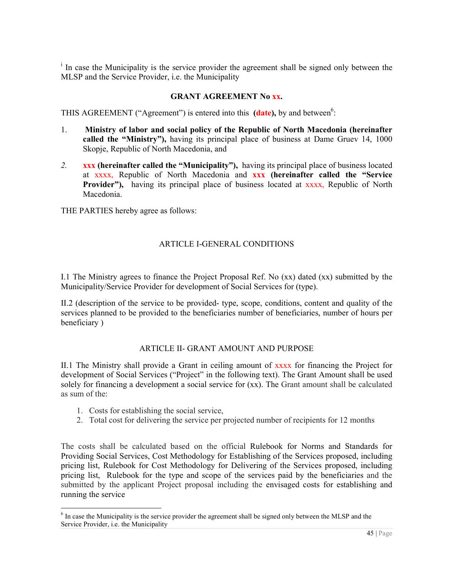<sup>i</sup> In case the Municipality is the service provider the agreement shall be signed only between the MLSP and the Service Provider, i.e. the Municipality

#### **GRANT AGREEMENT No xx.**

THIS AGREEMENT ("Agreement") is entered into this (date), by and between<sup>6</sup>:

- 1. **Ministry of labor and social policy of the Republic of North Macedonia (hereinafter called the "Ministry"),** having its principal place of business at Dame Gruev 14, 1000 Skopje, Republic of North Macedonia, and
- *2.* **xxx (hereinafter called the "Municipality"),** having its principal place of business located at xxxx, Republic of North Macedonia and **xxx (hereinafter called the "Service Provider"),** having its principal place of business located at xxxx, Republic of North Macedonia.

THE PARTIES hereby agree as follows:

#### ARTICLE I-GENERAL CONDITIONS

I.1 The Ministry agrees to finance the Project Proposal Ref. No (xx) dated (xx) submitted by the Municipality/Service Provider for development of Social Services for (type).

II.2 (description of the service to be provided- type, scope, conditions, content and quality of the services planned to be provided to the beneficiaries number of beneficiaries, number of hours per beneficiary )

#### ARTICLE II- GRANT AMOUNT AND PURPOSE

II.1 The Ministry shall provide a Grant in ceiling amount of xxxx for financing the Project for development of Social Services ("Project" in the following text). The Grant Amount shall be used solely for financing a development a social service for (xx). The Grant amount shall be calculated as sum of the:

- 1. Costs for establishing the social service,
- 2. Total cost for delivering the service per projected number of recipients for 12 months

The costs shall be calculated based on the official Rulebook for Norms and Standards for Providing Social Services, Cost Methodology for Establishing of the Services proposed, including pricing list, Rulebook for Cost Methodology for Delivering of the Services proposed, including pricing list, Rulebook for the type and scope of the services paid by the beneficiaries and the submitted by the applicant Project proposal including the envisaged costs for establishing and running the service

 $\overline{a}$  $<sup>6</sup>$  In case the Municipality is the service provider the agreement shall be signed only between the MLSP and the</sup> Service Provider, i.e. the Municipality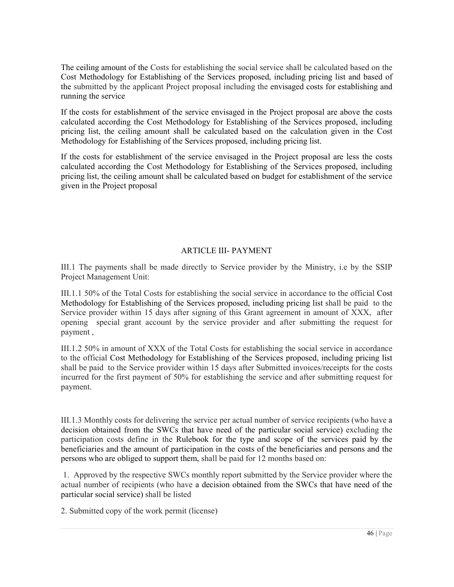The ceiling amount of the Costs for establishing the social service shall be calculated based on the Cost Methodology for Establishing of the Services proposed, including pricing list and based of the submitted by the applicant Project proposal including the envisaged costs for establishing and running the service

If the costs for establishment of the service envisaged in the Project proposal are above the costs calculated according the Cost Methodology for Establishing of the Services proposed, including pricing list, the ceiling amount shall be calculated based on the calculation given in the Cost Methodology for Establishing of the Services proposed, including pricing list.

If the costs for establishment of the service envisaged in the Project proposal are less the costs calculated according the Cost Methodology for Establishing of the Services proposed, including pricing list, the ceiling amount shall be calculated based on budget for establishment of the service given in the Project proposal

#### ARTICLE III- PAYMENT

III.1 The payments shall be made directly to Service provider by the Ministry, i.e by the SSIP Project Management Unit:

III.1.1 50% of the Total Costs for establishing the social service in accordance to the official Cost Methodology for Establishing of the Services proposed, including pricing list shall be paid to the Service provider within 15 days after signing of this Grant agreement in amount of XXX, after opening special grant account by the service provider and after submitting the request for payment ,

III.1.2 50% in amount of XXX of the Total Costs for establishing the social service in accordance to the official Cost Methodology for Establishing of the Services proposed, including pricing list shall be paid to the Service provider within 15 days after Submitted invoices/receipts for the costs incurred for the first payment of 50% for establishing the service and after submitting request for payment.

III.1.3 Monthly costs for delivering the service per actual number of service recipients (who have a decision obtained from the SWCs that have need of the particular social service) excluding the participation costs define in the Rulebook for the type and scope of the services paid by the beneficiaries and the amount of participation in the costs of the beneficiaries and persons and the persons who are obliged to support them, shall be paid for 12 months based on:

 1. Approved by the respective SWCs monthly report submitted by the Service provider where the actual number of recipients (who have a decision obtained from the SWCs that have need of the particular social service) shall be listed

2. Submitted copy of the work permit (license)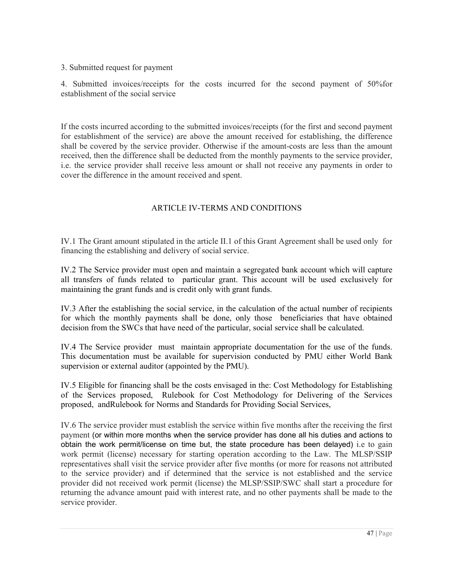3. Submitted request for payment

4. Submitted invoices/receipts for the costs incurred for the second payment of 50%for establishment of the social service

If the costs incurred according to the submitted invoices/receipts (for the first and second payment for establishment of the service) are above the amount received for establishing, the difference shall be covered by the service provider. Otherwise if the amount-costs are less than the amount received, then the difference shall be deducted from the monthly payments to the service provider, i.e. the service provider shall receive less amount or shall not receive any payments in order to cover the difference in the amount received and spent.

# ARTICLE IV-TERMS AND CONDITIONS

IV.1 The Grant amount stipulated in the article II.1 of this Grant Agreement shall be used only for financing the establishing and delivery of social service.

IV.2 The Service provider must open and maintain a segregated bank account which will capture all transfers of funds related to particular grant. This account will be used exclusively for maintaining the grant funds and is credit only with grant funds.

IV.3 After the establishing the social service, in the calculation of the actual number of recipients for which the monthly payments shall be done, only those beneficiaries that have obtained decision from the SWCs that have need of the particular, social service shall be calculated.

IV.4 The Service provider must maintain appropriate documentation for the use of the funds. This documentation must be available for supervision conducted by PMU either World Bank supervision or external auditor (appointed by the PMU).

IV.5 Eligible for financing shall be the costs envisaged in the: Cost Methodology for Establishing of the Services proposed, Rulebook for Cost Methodology for Delivering of the Services proposed, andRulebook for Norms and Standards for Providing Social Services,

IV.6 The service provider must establish the service within five months after the receiving the first payment (or within more months when the service provider has done all his duties and actions to obtain the work permit/license on time but, the state procedure has been delayed) i.e to gain work permit (license) necessary for starting operation according to the Law. The MLSP/SSIP representatives shall visit the service provider after five months (or more for reasons not attributed to the service provider) and if determined that the service is not established and the service provider did not received work permit (license) the MLSP/SSIP/SWC shall start a procedure for returning the advance amount paid with interest rate, and no other payments shall be made to the service provider.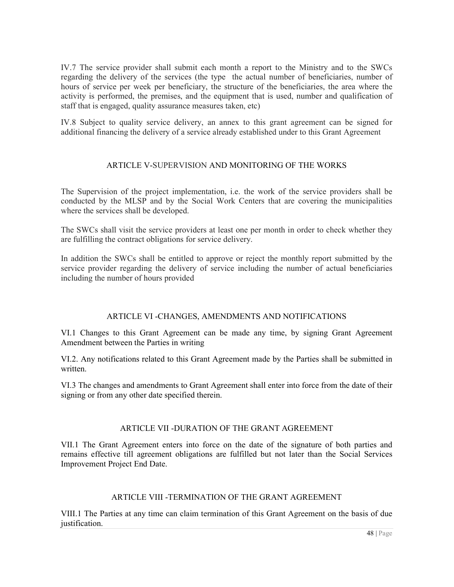IV.7 The service provider shall submit each month a report to the Ministry and to the SWCs regarding the delivery of the services (the type the actual number of beneficiaries, number of hours of service per week per beneficiary, the structure of the beneficiaries, the area where the activity is performed, the premises, and the equipment that is used, number and qualification of staff that is engaged, quality assurance measures taken, etc)

IV.8 Subject to quality service delivery, an annex to this grant agreement can be signed for additional financing the delivery of a service already established under to this Grant Agreement

# ARTICLE V-SUPERVISION AND MONITORING OF THE WORKS

The Supervision of the project implementation, i.e. the work of the service providers shall be conducted by the MLSP and by the Social Work Centers that are covering the municipalities where the services shall be developed.

The SWCs shall visit the service providers at least one per month in order to check whether they are fulfilling the contract obligations for service delivery.

In addition the SWCs shall be entitled to approve or reject the monthly report submitted by the service provider regarding the delivery of service including the number of actual beneficiaries including the number of hours provided

#### ARTICLE VI -CHANGES, AMENDMENTS AND NOTIFICATIONS

VI.1 Changes to this Grant Agreement can be made any time, by signing Grant Agreement Amendment between the Parties in writing

VI.2. Any notifications related to this Grant Agreement made by the Parties shall be submitted in written.

VI.3 The changes and amendments to Grant Agreement shall enter into force from the date of their signing or from any other date specified therein.

#### ARTICLE VII -DURATION OF THE GRANT AGREEMENT

VII.1 The Grant Agreement enters into force on the date of the signature of both parties and remains effective till agreement obligations are fulfilled but not later than the Social Services Improvement Project End Date.

# ARTICLE VIII -TERMINATION OF THE GRANT AGREEMENT

VIII.1 The Parties at any time can claim termination of this Grant Agreement on the basis of due justification.